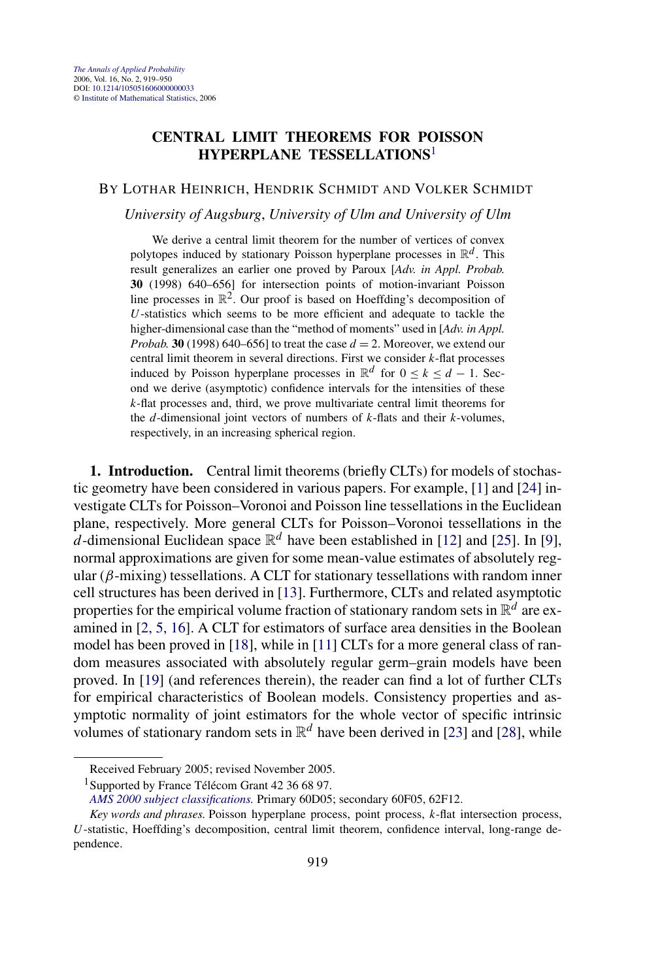## <span id="page-0-0"></span>**CENTRAL LIMIT THEOREMS FOR POISSON HYPERPLANE TESSELLATIONS**<sup>1</sup>

## BY LOTHAR HEINRICH, HENDRIK SCHMIDT AND VOLKER SCHMIDT

## *University of Augsburg*, *University of Ulm and University of Ulm*

We derive a central limit theorem for the number of vertices of convex polytopes induced by stationary Poisson hyperplane processes in  $\mathbb{R}^d$ . This result generalizes an earlier one proved by Paroux [*Adv. in Appl. Probab.* **30** (1998) 640–656] for intersection points of motion-invariant Poisson line processes in  $\mathbb{R}^2$ . Our proof is based on Hoeffding's decomposition of *U*-statistics which seems to be more efficient and adequate to tackle the higher-dimensional case than the "method of moments" used in [*Adv. in Appl. Probab.* **30** (1998) 640–656] to treat the case  $d = 2$ . Moreover, we extend our central limit theorem in several directions. First we consider *k*-flat processes induced by Poisson hyperplane processes in  $\mathbb{R}^d$  for  $0 \le k \le d - 1$ . Second we derive (asymptotic) confidence intervals for the intensities of these *k*-flat processes and, third, we prove multivariate central limit theorems for the *d*-dimensional joint vectors of numbers of *k*-flats and their *k*-volumes, respectively, in an increasing spherical region.

**1. Introduction.** Central limit theorems (briefly CLTs) for models of stochastic geometry have been considered in various papers. For example, [\[1\]](#page-29-0) and [\[24\]](#page-30-0) investigate CLTs for Poisson–Voronoi and Poisson line tessellations in the Euclidean plane, respectively. More general CLTs for Poisson–Voronoi tessellations in the *d*-dimensional Euclidean space  $\mathbb{R}^d$  have been established in [\[12\]](#page-30-0) and [\[25\]](#page-30-0). In [\[9\]](#page-30-0), normal approximations are given for some mean-value estimates of absolutely regular  $(\beta$ -mixing) tessellations. A CLT for stationary tessellations with random inner cell structures has been derived in [\[13\]](#page-30-0). Furthermore, CLTs and related asymptotic properties for the empirical volume fraction of stationary random sets in  $\mathbb{R}^d$  are examined in [\[2, 5, 16\]](#page-29-0). A CLT for estimators of surface area densities in the Boolean model has been proved in [\[18\]](#page-30-0), while in [\[11\]](#page-30-0) CLTs for a more general class of random measures associated with absolutely regular germ–grain models have been proved. In [\[19\]](#page-30-0) (and references therein), the reader can find a lot of further CLTs for empirical characteristics of Boolean models. Consistency properties and asymptotic normality of joint estimators for the whole vector of specific intrinsic volumes of stationary random sets in  $\mathbb{R}^d$  have been derived in [\[23\]](#page-30-0) and [\[28\]](#page-31-0), while

Received February 2005; revised November 2005.

<sup>&</sup>lt;sup>1</sup>Supported by France Télécom Grant 42 36 68 97.

*[AMS 2000 subject classifications.](http://www.ams.org/msc/)* Primary 60D05; secondary 60F05, 62F12.

*Key words and phrases.* Poisson hyperplane process, point process, *k*-flat intersection process, *U*-statistic, Hoeffding's decomposition, central limit theorem, confidence interval, long-range dependence.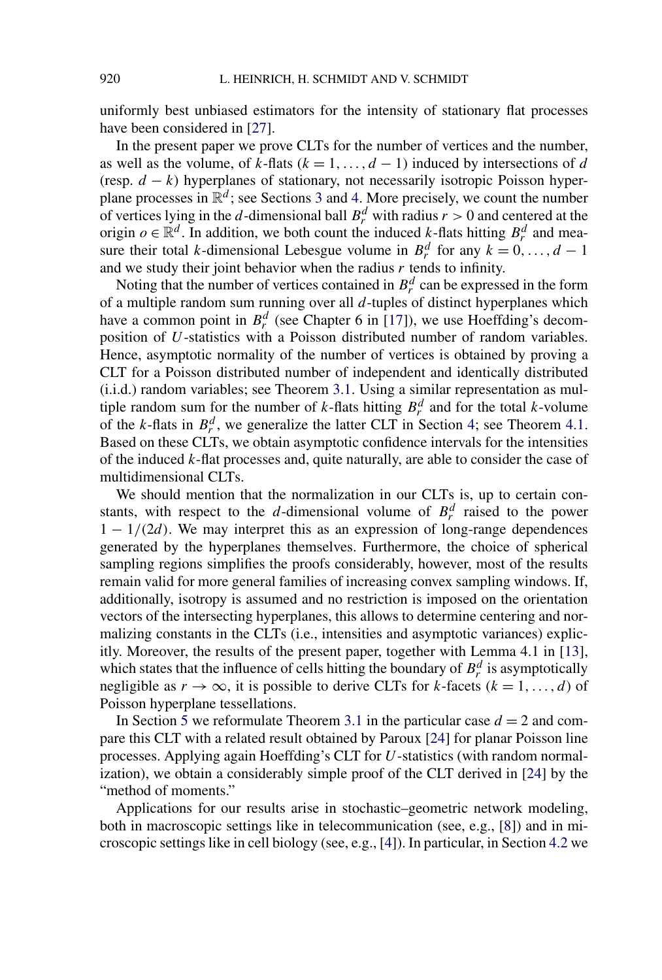uniformly best unbiased estimators for the intensity of stationary flat processes have been considered in [\[27\]](#page-30-0).

In the present paper we prove CLTs for the number of vertices and the number, as well as the volume, of  $k$ -flats ( $k = 1, \ldots, d - 1$ ) induced by intersections of *d* (resp. *d* − *k*) hyperplanes of stationary, not necessarily isotropic Poisson hyperplane processes in  $\mathbb{R}^d$ ; see Sections [3](#page-6-0) and [4.](#page-11-0) More precisely, we count the number of vertices lying in the *d*-dimensional ball  $B_r^d$  with radius  $r > 0$  and centered at the origin  $o \in \mathbb{R}^d$ . In addition, we both count the induced *k*-flats hitting  $B_r^d$  and measure their total *k*-dimensional Lebesgue volume in  $B_r^d$  for any  $k = 0, ..., d - 1$ and we study their joint behavior when the radius *r* tends to infinity.

Noting that the number of vertices contained in  $B_r^d$  can be expressed in the form of a multiple random sum running over all *d*-tuples of distinct hyperplanes which have a common point in  $B_r^d$  (see Chapter 6 in [\[17\]](#page-30-0)), we use Hoeffding's decomposition of *U*-statistics with a Poisson distributed number of random variables. Hence, asymptotic normality of the number of vertices is obtained by proving a CLT for a Poisson distributed number of independent and identically distributed (i.i.d.) random variables; see Theorem [3.1.](#page-8-0) Using a similar representation as multiple random sum for the number of *k*-flats hitting  $B_r^d$  and for the total *k*-volume of the *k*-flats in  $B_r^d$ , we generalize the latter CLT in Section [4;](#page-11-0) see Theorem [4.1.](#page-14-0) Based on these CLTs, we obtain asymptotic confidence intervals for the intensities of the induced *k*-flat processes and, quite naturally, are able to consider the case of multidimensional CLTs.

We should mention that the normalization in our CLTs is, up to certain constants, with respect to the *d*-dimensional volume of  $B_r^d$  raised to the power  $1 - 1/(2d)$ . We may interpret this as an expression of long-range dependences generated by the hyperplanes themselves. Furthermore, the choice of spherical sampling regions simplifies the proofs considerably, however, most of the results remain valid for more general families of increasing convex sampling windows. If, additionally, isotropy is assumed and no restriction is imposed on the orientation vectors of the intersecting hyperplanes, this allows to determine centering and normalizing constants in the CLTs (i.e., intensities and asymptotic variances) explicitly. Moreover, the results of the present paper, together with Lemma 4.1 in [\[13\]](#page-30-0), which states that the influence of cells hitting the boundary of  $B_r^d$  is asymptotically negligible as  $r \to \infty$ , it is possible to derive CLTs for *k*-facets ( $k = 1, ..., d$ ) of Poisson hyperplane tessellations.

In Section [5](#page-25-0) we reformulate Theorem [3.1](#page-8-0) in the particular case  $d = 2$  and compare this CLT with a related result obtained by Paroux [\[24\]](#page-30-0) for planar Poisson line processes. Applying again Hoeffding's CLT for *U*-statistics (with random normalization), we obtain a considerably simple proof of the CLT derived in [\[24\]](#page-30-0) by the "method of moments."

Applications for our results arise in stochastic–geometric network modeling, both in macroscopic settings like in telecommunication (see, e.g., [\[8\]](#page-30-0)) and in microscopic settings like in cell biology (see, e.g., [\[4\]](#page-30-0)). In particular, in Section [4.2](#page-17-0) we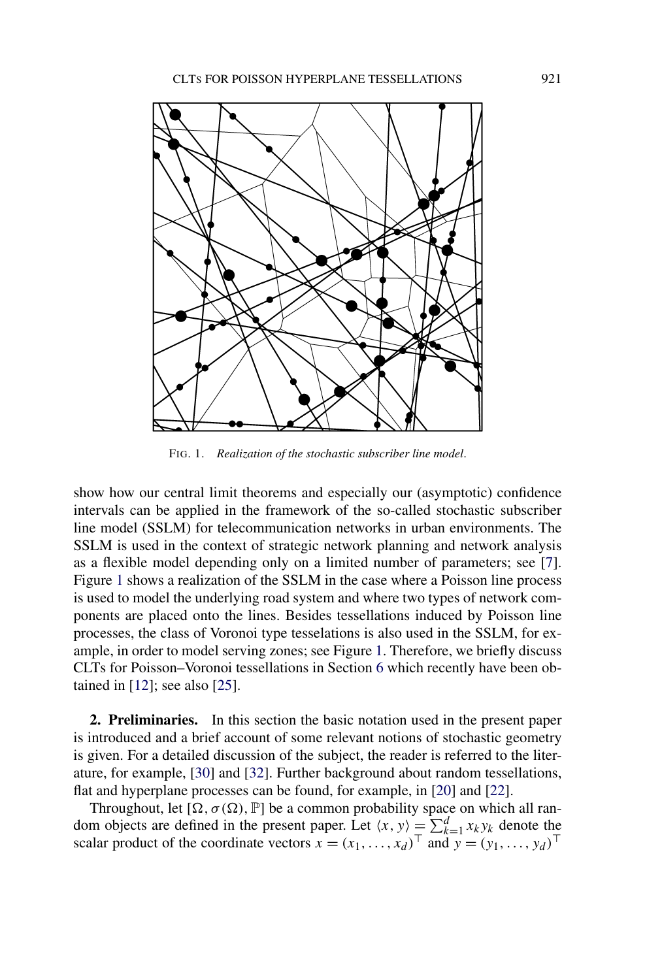

FIG. 1. *Realization of the stochastic subscriber line model*.

show how our central limit theorems and especially our (asymptotic) confidence intervals can be applied in the framework of the so-called stochastic subscriber line model (SSLM) for telecommunication networks in urban environments. The SSLM is used in the context of strategic network planning and network analysis as a flexible model depending only on a limited number of parameters; see [\[7\]](#page-30-0). Figure 1 shows a realization of the SSLM in the case where a Poisson line process is used to model the underlying road system and where two types of network components are placed onto the lines. Besides tessellations induced by Poisson line processes, the class of Voronoi type tesselations is also used in the SSLM, for example, in order to model serving zones; see Figure 1. Therefore, we briefly discuss CLTs for Poisson–Voronoi tessellations in Section [6](#page-28-0) which recently have been obtained in [\[12\]](#page-30-0); see also [\[25\]](#page-30-0).

**2. Preliminaries.** In this section the basic notation used in the present paper is introduced and a brief account of some relevant notions of stochastic geometry is given. For a detailed discussion of the subject, the reader is referred to the literature, for example, [\[30\]](#page-31-0) and [\[32\]](#page-31-0). Further background about random tessellations, flat and hyperplane processes can be found, for example, in [\[20\]](#page-30-0) and [\[22\]](#page-30-0).

Throughout, let  $\left[\Omega, \sigma(\Omega), \mathbb{P}\right]$  be a common probability space on which all random objects are defined in the present paper. Let  $\langle x, y \rangle = \sum_{k=1}^{d} x_k y_k$  denote the scalar product of the coordinate vectors  $x = (x_1, \ldots, x_d)^\top$  and  $y = (y_1, \ldots, y_d)^\top$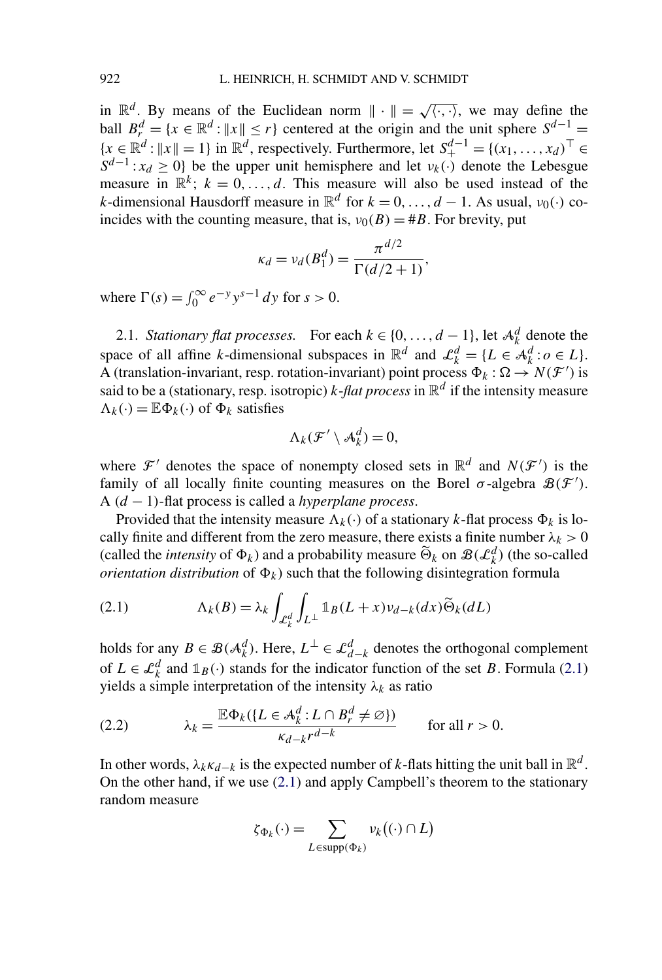<span id="page-3-0"></span>in  $\mathbb{R}^d$ . By means of the Euclidean norm  $\|\cdot\| = \sqrt{\langle \cdot, \cdot \rangle}$ , we may define the ball  $B_r^d = \{x \in \mathbb{R}^d : ||x|| \le r\}$  centered at the origin and the unit sphere  $S^{d-1} =$  ${x \in \mathbb{R}^d : ||x|| = 1}$  in  $\mathbb{R}^d$ , respectively. Furthermore, let  $S_+^{d-1} = {(x_1, ..., x_d)}^\top$  ∈  $S^{d-1}$ :  $x_d \geq 0$ } be the upper unit hemisphere and let  $v_k(\cdot)$  denote the Lebesgue measure in  $\mathbb{R}^k$ ;  $k = 0, \ldots, d$ . This measure will also be used instead of the *k*-dimensional Hausdorff measure in  $\mathbb{R}^d$  for  $k = 0, \ldots, d - 1$ . As usual,  $v_0(\cdot)$  coincides with the counting measure, that is,  $v_0(B) = \#B$ . For brevity, put

$$
\kappa_d = v_d(B_1^d) = \frac{\pi^{d/2}}{\Gamma(d/2 + 1)},
$$

where  $\Gamma(s) = \int_0^\infty e^{-y} y^{s-1} dy$  for  $s > 0$ .

2.1. *Stationary flat processes.* For each  $k \in \{0, ..., d-1\}$ , let  $\mathcal{A}_{k}^{d}$  denote the space of all affine *k*-dimensional subspaces in  $\mathbb{R}^d$  and  $\mathcal{L}_k^d = \{L \in \mathcal{A}_k^d : o \in L\}.$ A (translation-invariant, resp. rotation-invariant) point process  $\Phi_k : \Omega \to N(\mathcal{F}')$  is said to be a (stationary, resp. isotropic) *k*-*flat process* in  $\mathbb{R}^d$  if the intensity measure  $\Lambda_k(\cdot) = \mathbb{E} \Phi_k(\cdot)$  of  $\Phi_k$  satisfies

$$
\Lambda_k(\mathcal{F}'\setminus\mathcal{A}_k^d)=0,
$$

where  $\mathcal{F}'$  denotes the space of nonempty closed sets in  $\mathbb{R}^d$  and  $N(\mathcal{F}')$  is the family of all locally finite counting measures on the Borel  $\sigma$ -algebra  $\mathcal{B}(\mathcal{F}')$ . A *(d* − 1*)*-flat process is called a *hyperplane process*.

Provided that the intensity measure  $\Lambda_k(\cdot)$  of a stationary *k*-flat process  $\Phi_k$  is locally finite and different from the zero measure, there exists a finite number  $\lambda_k > 0$ (called the *intensity* of  $\Phi_k$ ) and a probability measure  $\widetilde{\Theta}_k$  on  $\mathcal{B}(\mathcal{L}_k^d)$  (the so-called *orientation distribution* of  $\Phi_k$ ) such that the following disintegration formula

(2.1) 
$$
\Lambda_k(B) = \lambda_k \int_{\mathcal{L}_k^d} \int_{L^\perp} \mathbb{1}_B(L+x) \nu_{d-k}(dx) \widetilde{\Theta}_k(dL)
$$

holds for any  $B \in \mathcal{B}(\mathcal{A}_k^d)$ . Here,  $L^{\perp} \in \mathcal{L}_{d-k}^d$  denotes the orthogonal complement of  $L \in \mathcal{L}_k^d$  and  $\mathbb{1}_B(\cdot)$  stands for the indicator function of the set *B*. Formula (2.1) yields a simple interpretation of the intensity  $\lambda_k$  as ratio

(2.2) 
$$
\lambda_k = \frac{\mathbb{E} \Phi_k(\{L \in \mathcal{A}_k^d : L \cap B_r^d \neq \varnothing\})}{\kappa_{d-k} r^{d-k}} \quad \text{for all } r > 0.
$$

In other words,  $\lambda_k \kappa_{d-k}$  is the expected number of *k*-flats hitting the unit ball in  $\mathbb{R}^d$ . On the other hand, if we use (2.1) and apply Campbell's theorem to the stationary random measure

$$
\zeta_{\Phi_k}(\cdot) = \sum_{L \in \text{supp}(\Phi_k)} \nu_k((\cdot) \cap L)
$$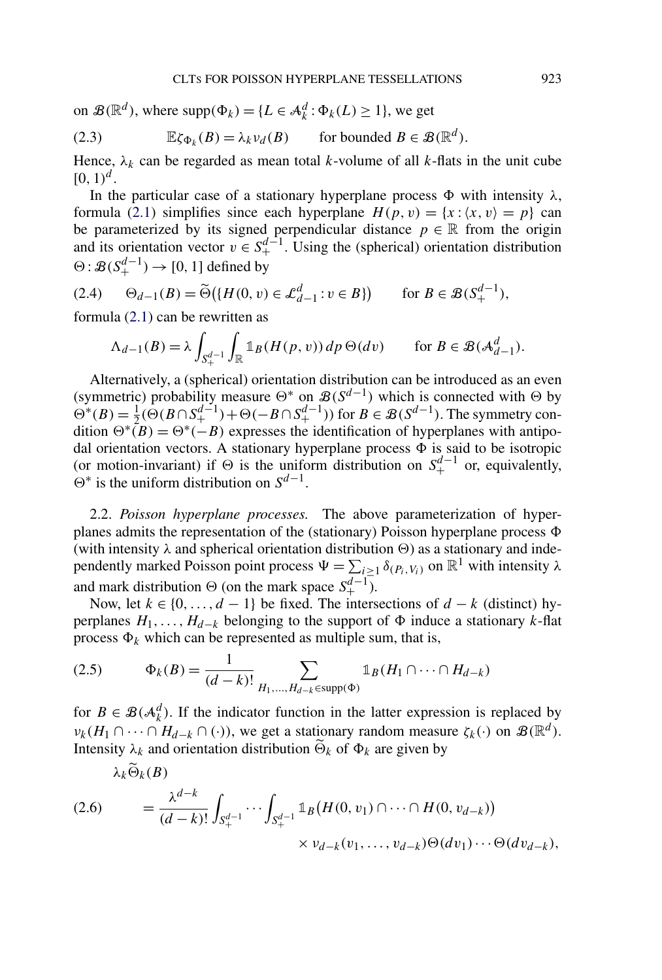<span id="page-4-0"></span>on  $\mathcal{B}(\mathbb{R}^d)$ , where  $supp(\Phi_k) = \{L \in \mathcal{A}_k^d : \Phi_k(L) \ge 1\}$ , we get

(2.3) 
$$
\mathbb{E}\zeta_{\Phi_k}(B) = \lambda_k \nu_d(B) \quad \text{for bounded } B \in \mathcal{B}(\mathbb{R}^d).
$$

Hence,  $\lambda_k$  can be regarded as mean total *k*-volume of all *k*-flats in the unit cube  $[0, 1)^d$ .

In the particular case of a stationary hyperplane process  $\Phi$  with intensity  $\lambda$ , formula [\(2.1\)](#page-3-0) simplifies since each hyperplane  $H(p, v) = \{x : \langle x, v \rangle = p\}$  can be parameterized by its signed perpendicular distance  $p \in \mathbb{R}$  from the origin and its orientation vector  $v \in S_+^{d-1}$ . Using the (spherical) orientation distribution  $\Theta$ :  $\mathcal{B}(S_+^{d-1}) \to [0, 1]$  defined by

$$
(2.4) \qquad \Theta_{d-1}(B) = \widetilde{\Theta}\big(\{H(0, v) \in \mathcal{L}_{d-1}^d : v \in B\}\big) \qquad \text{for } B \in \mathcal{B}(S_+^{d-1}),
$$

formula [\(2.1\)](#page-3-0) can be rewritten as

*λkk(B)*

$$
\Lambda_{d-1}(B) = \lambda \int_{S_+^{d-1}} \int_{\mathbb{R}} \mathbb{1}_B(H(p, v)) \, dp \, \Theta(dv) \qquad \text{for } B \in \mathcal{B}(\mathcal{A}_{d-1}^d).
$$

Alternatively, a (spherical) orientation distribution can be introduced as an even (symmetric) probability measure  $\Theta^*$  on  $\mathcal{B}(S^{d-1})$  which is connected with  $\Theta$  by  $\Theta^*(B) = \frac{1}{2} (\Theta(B \cap S_+^{d-1}) + \Theta(-B \cap S_+^{d-1}))$  for *B* ∈ *B*(*S*<sup>*d*−1</sup>). The symmetry condition  $\Theta^*(B) = \Theta^*(-B)$  expresses the identification of hyperplanes with antipodal orientation vectors. A stationary hyperplane process  $\Phi$  is said to be isotropic (or motion-invariant) if  $\Theta$  is the uniform distribution on  $S^{d-1}_+$  or, equivalently,  $\Theta^*$  is the uniform distribution on  $S^{d-1}$ .

2.2. *Poisson hyperplane processes.* The above parameterization of hyperplanes admits the representation of the (stationary) Poisson hyperplane process  $\Phi$ (with intensity  $\lambda$  and spherical orientation distribution  $\Theta$ ) as a stationary and independently marked Poisson point process  $\Psi = \sum_{i \geq 1} \delta_{(P_i, V_i)}$  on  $\mathbb{R}^1$  with intensity  $\lambda$ and mark distribution  $\Theta$  (on the mark space  $S^{d-1}_+$ ).

Now, let  $k \in \{0, ..., d - 1\}$  be fixed. The intersections of  $d - k$  (distinct) hyperplanes  $H_1, \ldots, H_{d-k}$  belonging to the support of  $\Phi$  induce a stationary *k*-flat process  $\Phi_k$  which can be represented as multiple sum, that is,

(2.5) 
$$
\Phi_k(B) = \frac{1}{(d-k)!} \sum_{H_1,...,H_{d-k} \in \text{supp}(\Phi)} \mathbb{1}_B(H_1 \cap \dots \cap H_{d-k})
$$

for  $B \in \mathcal{B}(\mathcal{A}_{k}^{d})$ . If the indicator function in the latter expression is replaced by *ν<sub>k</sub>*(*H*<sub>1</sub> ∩ ··· ∩ *H*<sub>d−*k*</sub> ∩ (·)), we get a stationary random measure  $\zeta_k(\cdot)$  on  $\mathcal{B}(\mathbb{R}^d)$ . Intensity  $\lambda_k$  and orientation distribution  $\Theta_k$  of  $\Phi_k$  are given by

$$
(2.6) \qquad = \frac{\lambda^{d-k}}{(d-k)!} \int_{S_+^{d-1}} \cdots \int_{S_+^{d-1}} \mathbb{1}_B(H(0, v_1) \cap \cdots \cap H(0, v_{d-k}))
$$
\n
$$
\times v_{d-k}(v_1, \ldots, v_{d-k}) \Theta(dv_1) \cdots \Theta(dv_{d-k}),
$$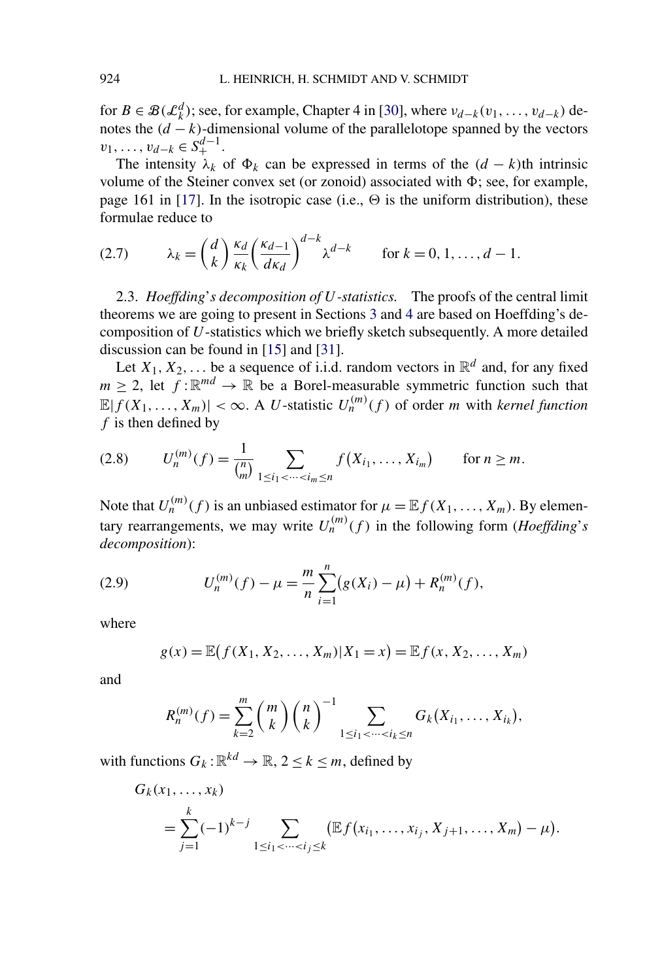<span id="page-5-0"></span>for  $B \in \mathcal{B}(\mathcal{L}_k^d)$ ; see, for example, Chapter 4 in [\[30\]](#page-31-0), where  $v_{d-k}(v_1, \ldots, v_{d-k})$  denotes the  $(d - k)$ -dimensional volume of the parallelotope spanned by the vectors  $v_1, \ldots, v_{d-k} \in S_+^{d-1}.$ 

The intensity  $\lambda_k$  of  $\Phi_k$  can be expressed in terms of the  $(d - k)$ th intrinsic volume of the Steiner convex set (or zonoid) associated with  $\Phi$ ; see, for example, page 161 in [\[17\]](#page-30-0). In the isotropic case (i.e.,  $\Theta$  is the uniform distribution), these formulae reduce to

(2.7) 
$$
\lambda_k = \binom{d}{k} \frac{\kappa_d}{\kappa_k} \left( \frac{\kappa_{d-1}}{d\kappa_d} \right)^{d-k} \lambda^{d-k} \quad \text{for } k = 0, 1, ..., d-1.
$$

2.3. *Hoeffding*'*s decomposition of U-statistics.* The proofs of the central limit theorems we are going to present in Sections [3](#page-6-0) and [4](#page-11-0) are based on Hoeffding's decomposition of *U*-statistics which we briefly sketch subsequently. A more detailed discussion can be found in [\[15\]](#page-30-0) and [\[31\]](#page-31-0).

Let  $X_1, X_2, \ldots$  be a sequence of i.i.d. random vectors in  $\mathbb{R}^d$  and, for any fixed  $m \geq 2$ , let  $f : \mathbb{R}^{md} \to \mathbb{R}$  be a Borel-measurable symmetric function such that  $\mathbb{E}|f(X_1,\ldots,X_m)| < \infty$ . A *U*-statistic  $U_n^{(m)}(f)$  of order *m* with *kernel function f* is then defined by

$$
(2.8) \tU_n^{(m)}(f) = \frac{1}{\binom{n}{m}} \sum_{1 \le i_1 < \cdots < i_m \le n} f(X_{i_1}, \ldots, X_{i_m}) \tfor n \ge m.
$$

Note that  $U_n^{(m)}(f)$  is an unbiased estimator for  $\mu = \mathbb{E} f(X_1, \ldots, X_m)$ . By elementary rearrangements, we may write  $U_n^{(m)}(f)$  in the following form (*Hoeffding*'*s decomposition*):

(2.9) 
$$
U_n^{(m)}(f) - \mu = \frac{m}{n} \sum_{i=1}^n (g(X_i) - \mu) + R_n^{(m)}(f),
$$

where

$$
g(x) = \mathbb{E}(f(X_1, X_2, ..., X_m)|X_1 = x) = \mathbb{E}f(x, X_2, ..., X_m)
$$

and

$$
R_n^{(m)}(f) = \sum_{k=2}^m {m \choose k} {n \choose k}^{-1} \sum_{1 \le i_1 < \dots < i_k \le n} G_k(X_{i_1}, \dots, X_{i_k}),
$$

with functions  $G_k: \mathbb{R}^{kd} \to \mathbb{R}, 2 \leq k \leq m$ , defined by

$$
G_k(x_1,...,x_k)
$$
  
=  $\sum_{j=1}^k (-1)^{k-j} \sum_{1 \le i_1 < \dots < i_j \le k} (\mathbb{E} f(x_{i_1},...,x_{i_j}, X_{j+1},...,X_m) - \mu).$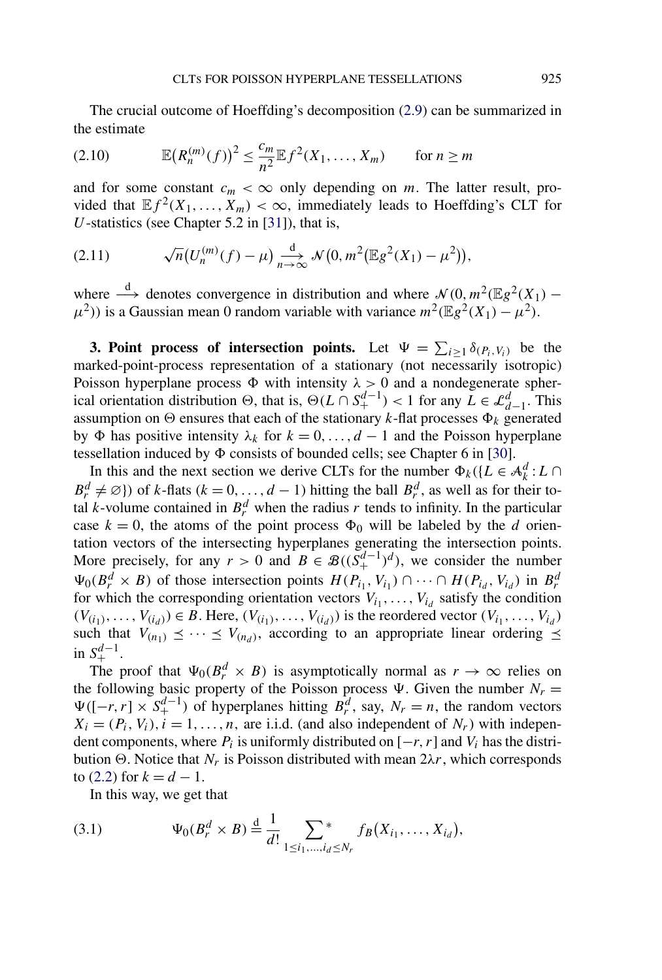<span id="page-6-0"></span>The crucial outcome of Hoeffding's decomposition [\(2.9\)](#page-5-0) can be summarized in the estimate

(2.10) 
$$
\mathbb{E}(R_n^{(m)}(f))^2 \leq \frac{c_m}{n^2} \mathbb{E} f^2(X_1, ..., X_m) \quad \text{for } n \geq m
$$

and for some constant  $c_m < \infty$  only depending on *m*. The latter result, provided that  $E f^2(X_1,...,X_m) < \infty$ , immediately leads to Hoeffding's CLT for *U*-statistics (see Chapter 5.2 in [\[31\]](#page-31-0)), that is,

(2.11) 
$$
\sqrt{n}(U_n^{(m)}(f) - \mu) \xrightarrow[n \to \infty]{d} \mathcal{N}(0, m^2(\mathbb{E}g^2(X_1) - \mu^2)),
$$

where  $\stackrel{d}{\longrightarrow}$  denotes convergence in distribution and where  $\mathcal{N}(0, m^2(\mathbb{E}g^2(X_1) \mu^{2}$ )) is a Gaussian mean 0 random variable with variance  $m^{2}(\mathbb{E}g^{2}(X_{1}) - \mu^{2})$ .

**3. Point process of intersection points.** Let  $\Psi = \sum_{i \geq 1} \delta_{(P_i, V_i)}$  be the marked-point-process representation of a stationary (not necessarily isotropic) Poisson hyperplane process  $\Phi$  with intensity  $\lambda > 0$  and a nondegenerate spherical orientation distribution  $\Theta$ , that is,  $\Theta(L \cap S^{d-1}_{+}) < 1$  for any  $L \in \mathcal{L}^d_{d-1}$ . This assumption on  $\Theta$  ensures that each of the stationary *k*-flat processes  $\Phi_k$  generated by Φ has positive intensity  $λ_k$  for  $k = 0, ..., d - 1$  and the Poisson hyperplane tessellation induced by  $\Phi$  consists of bounded cells; see Chapter 6 in [\[30\]](#page-31-0).

In this and the next section we derive CLTs for the number  $\Phi_k({L \in \mathcal{A}_k^d : L \cap$  $B_r^d \neq \emptyset$ ) of *k*-flats (*k* = 0, ..., *d* − 1) hitting the ball  $B_r^d$ , as well as for their total *k*-volume contained in  $B_r^d$  when the radius *r* tends to infinity. In the particular case  $k = 0$ , the atoms of the point process  $\Phi_0$  will be labeled by the *d* orientation vectors of the intersecting hyperplanes generating the intersection points. More precisely, for any  $r > 0$  and  $B \in \mathcal{B}((S_+^{d-1})^d)$ , we consider the number  $\Psi_0(B_r^d \times B)$  of those intersection points  $H(P_{i_1}, V_{i_1}) \cap \cdots \cap H(P_{i_d}, V_{i_d})$  in  $B_r^d$ for which the corresponding orientation vectors  $V_{i_1}, \ldots, V_{i_d}$  satisfy the condition *(V*<sub>(*i*<sub>1</sub></sub>),..., *V*<sub>(*i*<sub>d</sub></sub>)) ∈ *B*. Here,  $(V_{(i_1)},...,V_{(i_d)})$  is the reordered vector  $(V_{i_1},...,V_{i_d})$ such that  $V_{(n_1)} \preceq \cdots \preceq V_{(n_d)}$ , according to an appropriate linear ordering  $\preceq$  $\inf S_+^{d-1}$ .

The proof that  $\Psi_0(B_r^d \times B)$  is asymptotically normal as  $r \to \infty$  relies on the following basic property of the Poisson process  $\Psi$ . Given the number  $N_r =$  $\Psi([-r, r] \times S^{d-1}_+)$  of hyperplanes hitting  $B^d_r$ , say,  $N_r = n$ , the random vectors  $X_i = (P_i, V_i), i = 1, \ldots, n$ , are i.i.d. (and also independent of  $N_r$ ) with independent components, where  $P_i$  is uniformly distributed on  $[-r, r]$  and  $V_i$  has the distribution  $\Theta$ . Notice that  $N_r$  is Poisson distributed with mean  $2\lambda r$ , which corresponds to [\(2.2\)](#page-3-0) for  $k = d - 1$ .

In this way, we get that

(3.1) 
$$
\Psi_0(B_r^d \times B) \stackrel{d}{=} \frac{1}{d!} \sum_{1 \le i_1, ..., i_d \le N_r} f_B(X_{i_1}, ..., X_{i_d}),
$$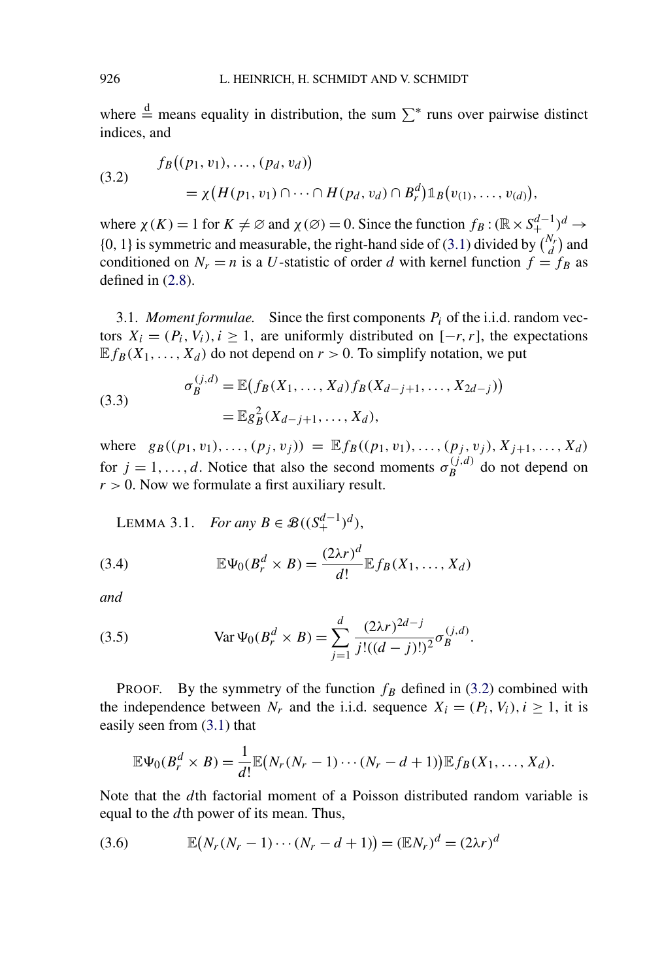<span id="page-7-0"></span>where  $\stackrel{\text{d}}{=}$  means equality in distribution, the sum  $\sum^*$  runs over pairwise distinct indices, and

(3.2) 
$$
f_B((p_1, v_1), \dots, (p_d, v_d)) = \chi(H(p_1, v_1) \cap \dots \cap H(p_d, v_d) \cap B_r^d) \mathbb{1}_B(v_{(1)}, \dots, v_{(d)}),
$$

where  $\chi(K) = 1$  for  $K \neq \emptyset$  and  $\chi(\emptyset) = 0$ . Since the function  $f_B : (\mathbb{R} \times S_+^{d-1})^d \to$ {0, 1} is symmetric and measurable, the right-hand side of [\(3.1\)](#page-6-0) divided by  $\binom{N_r}{d}$  and conditioned on  $N_r = n$  is a U-statistic of order *d* with kernel function  $f = f_B$  as defined in [\(2.8\)](#page-5-0).

3.1. *Moment formulae.* Since the first components  $P_i$  of the i.i.d. random vectors  $X_i = (P_i, V_i), i \ge 1$ , are uniformly distributed on  $[-r, r]$ , the expectations  $E f_B(X_1, \ldots, X_d)$  do not depend on  $r > 0$ . To simplify notation, we put

(3.3) 
$$
\sigma_B^{(j,d)} = \mathbb{E}(f_B(X_1, ..., X_d) f_B(X_{d-j+1}, ..., X_{2d-j}))
$$

$$
= \mathbb{E}g_B^2(X_{d-j+1}, ..., X_d),
$$

where  $g_B((p_1, v_1), \ldots, (p_j, v_j)) = \mathbb{E} f_B((p_1, v_1), \ldots, (p_j, v_j), X_{j+1}, \ldots, X_d)$ for  $j = 1, ..., d$ . Notice that also the second moments  $\sigma_B^{(j,d)}$  do not depend on  $r > 0$ . Now we formulate a first auxiliary result.

LEMMA 3.1. *For any B* ∈  $\mathcal{B}((S_+^{d-1})^d)$ ,

(3.4) 
$$
\mathbb{E}\Psi_0(B_r^d \times B) = \frac{(2\lambda r)^d}{d!} \mathbb{E} f_B(X_1,\ldots,X_d)
$$

*and*

(3.5) 
$$
\text{Var}\,\Psi_0(B_r^d \times B) = \sum_{j=1}^d \frac{(2\lambda r)^{2d-j}}{j!(d-j)!)^2} \sigma_B^{(j,d)}.
$$

**PROOF.** By the symmetry of the function  $f_B$  defined in (3.2) combined with the independence between  $N_r$  and the i.i.d. sequence  $X_i = (P_i, V_i), i \ge 1$ , it is easily seen from [\(3.1\)](#page-6-0) that

$$
\mathbb{E}\Psi_0(B_r^d\times B)=\frac{1}{d!}\mathbb{E}(N_r(N_r-1)\cdots(N_r-d+1))\mathbb{E} f_B(X_1,\ldots,X_d).
$$

Note that the *d*th factorial moment of a Poisson distributed random variable is equal to the *d*th power of its mean. Thus,

(3.6) 
$$
\mathbb{E}(N_r(N_r - 1) \cdots (N_r - d + 1)) = (\mathbb{E}N_r)^d = (2\lambda r)^d
$$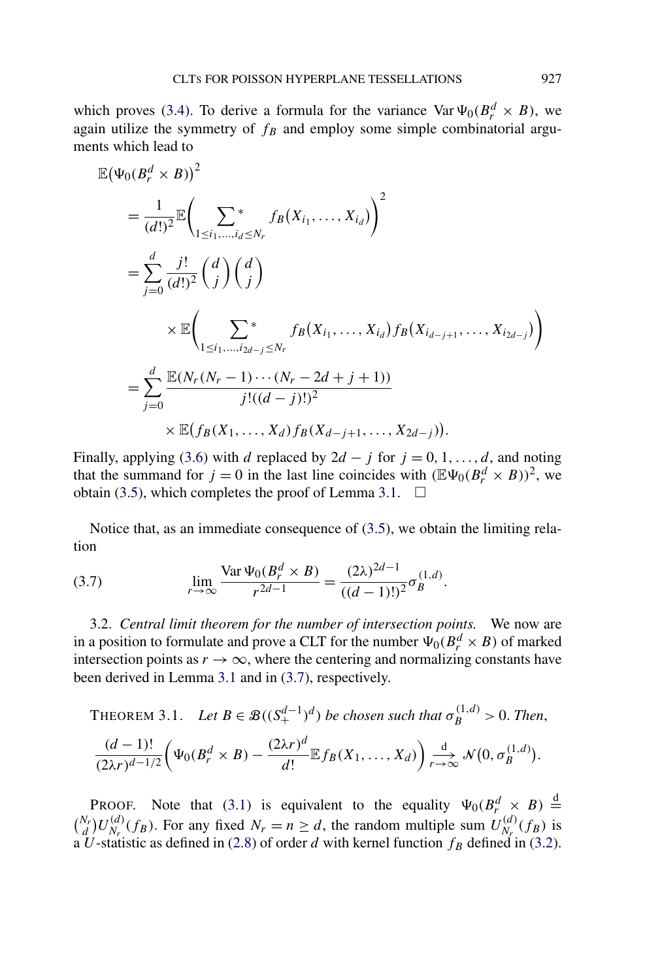<span id="page-8-0"></span>
$$
\mathbb{E}(\Psi_{0}(B_{r}^{d} \times B))^{2}
$$
\n
$$
= \frac{1}{(d!)^{2}} \mathbb{E} \bigg( \sum_{1 \leq i_{1}, \dots, i_{d} \leq N_{r}} f_{B}(X_{i_{1}}, \dots, X_{i_{d}}) \bigg)^{2}
$$
\n
$$
= \sum_{j=0}^{d} \frac{j!}{(d!)^{2}} \binom{d}{j} \binom{d}{j}
$$
\n
$$
\times \mathbb{E} \bigg( \sum_{1 \leq i_{1}, \dots, i_{2d-j} \leq N_{r}} f_{B}(X_{i_{1}}, \dots, X_{i_{d}}) f_{B}(X_{i_{d-j+1}}, \dots, X_{i_{2d-j}}) \bigg)
$$
\n
$$
= \sum_{j=0}^{d} \frac{\mathbb{E}(N_{r}(N_{r}-1) \cdots (N_{r}-2d+j+1))}{j!(d-j)!(2j)!} \times \mathbb{E} \big( f_{B}(X_{1}, \dots, X_{d}) f_{B}(X_{d-j+1}, \dots, X_{2d-j}) \big).
$$

Finally, applying [\(3.6\)](#page-7-0) with *d* replaced by  $2d - j$  for  $j = 0, 1, \ldots, d$ , and noting that the summand for  $j = 0$  in the last line coincides with  $(\mathbb{E}\Psi_0(B_r^d \times B))^2$ , we obtain [\(3.5\)](#page-7-0), which completes the proof of Lemma [3.1.](#page-7-0)  $\Box$ 

Notice that, as an immediate consequence of [\(3.5\)](#page-7-0), we obtain the limiting relation

(3.7) 
$$
\lim_{r \to \infty} \frac{\text{Var}\,\Psi_0(B_r^d \times B)}{r^{2d-1}} = \frac{(2\lambda)^{2d-1}}{((d-1)!)^2} \sigma_B^{(1,d)}.
$$

3.2. *Central limit theorem for the number of intersection points.* We now are in a position to formulate and prove a CLT for the number  $\Psi_0(B_r^d \times B)$  of marked intersection points as  $r \to \infty$ , where the centering and normalizing constants have been derived in Lemma [3.1](#page-7-0) and in (3.7), respectively.

THEOREM 3.1. Let 
$$
B \in \mathcal{B}((S_+^{d-1})^d)
$$
 be chosen such that  $\sigma_B^{(1,d)} > 0$ . Then,  
\n
$$
\frac{(d-1)!}{(2\lambda r)^{d-1/2}} \left(\Psi_0(B_r^d \times B) - \frac{(2\lambda r)^d}{d!} \mathbb{E} f_B(X_1, ..., X_d)\right) \underset{r \to \infty}{\overset{d}{\to}} \mathcal{N}(0, \sigma_B^{(1,d)}).
$$

**PROOF.** Note that [\(3.1\)](#page-6-0) is equivalent to the equality  $\Psi_0(B_r^d \times B) \stackrel{d}{=}$  $\binom{N_r}{d} U_{N_r}^{(d)}(f_B)$ . For any fixed  $N_r = n \ge d$ , the random multiple sum  $U_{N_r}^{(d)}(f_B)$  is a *U*-statistic as defined in [\(2.8\)](#page-5-0) of order *d* with kernel function  $f_B$  defined in [\(3.2\)](#page-7-0).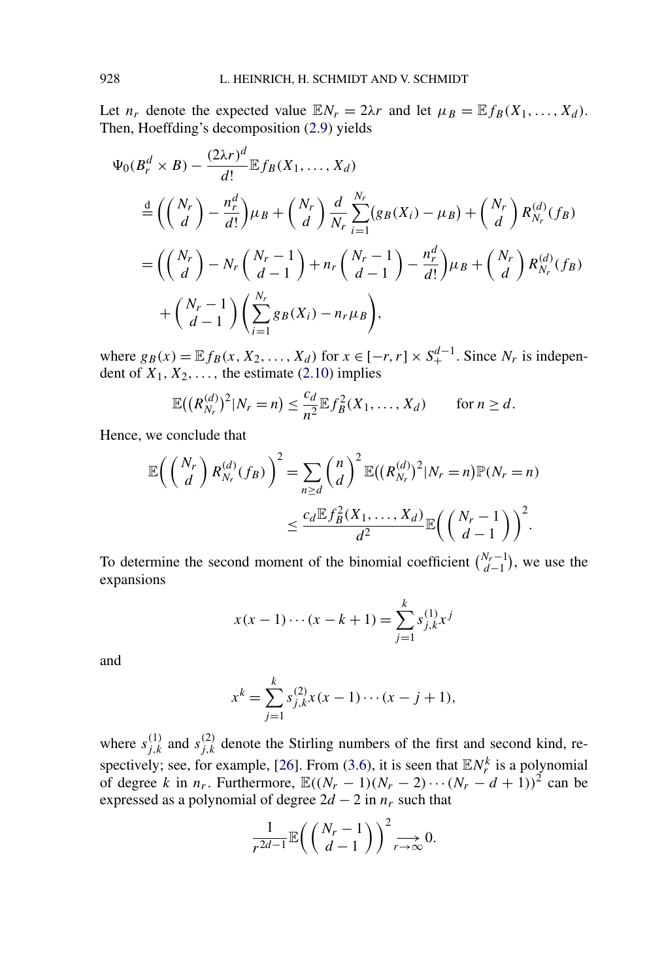Let  $n_r$  denote the expected value  $\mathbb{E}N_r = 2\lambda r$  and let  $\mu_B = \mathbb{E}f_B(X_1, \ldots, X_d)$ . Then, Hoeffding's decomposition [\(2.9\)](#page-5-0) yields

$$
\Psi_0(B_r^d \times B) - \frac{(2\lambda r)^d}{d!} \mathbb{E} f_B(X_1, ..., X_d)
$$
\n
$$
\stackrel{d}{=} \left( \binom{N_r}{d} - \frac{n_r^d}{d!} \mu_B + \binom{N_r}{d} \frac{d}{N_r} \sum_{i=1}^{N_r} (g_B(X_i) - \mu_B) + \binom{N_r}{d} R_{N_r}^{(d)}(f_B)
$$
\n
$$
= \left( \binom{N_r}{d} - N_r \binom{N_r - 1}{d - 1} + n_r \binom{N_r - 1}{d - 1} - \frac{n_r^d}{d!} \mu_B + \binom{N_r}{d} R_{N_r}^{(d)}(f_B)
$$
\n
$$
+ \binom{N_r - 1}{d - 1} \left( \sum_{i=1}^{N_r} g_B(X_i) - n_r \mu_B \right),
$$

where  $g_B(x) = \mathbb{E} f_B(x, X_2, \dots, X_d)$  for  $x \in [-r, r] \times S_+^{d-1}$ . Since  $N_r$  is independent of  $X_1, X_2, \ldots$ , the estimate [\(2.10\)](#page-6-0) implies

$$
\mathbb{E}\big(\big(R_{N_r}^{(d)}\big)^2|N_r=n\big)\leq \frac{c_d}{n^2}\mathbb{E} f_B^2(X_1,\ldots,X_d)\qquad\text{for }n\geq d.
$$

Hence, we conclude that

$$
\mathbb{E}\left(\left(\begin{array}{c}N_r\\d\end{array}\right)R_{N_r}^{(d)}(f_B)\right)^2 = \sum_{n\geq d} \binom{n}{d}^2 \mathbb{E}\left(\left(R_{N_r}^{(d)}\right)^2 | N_r = n\right) \mathbb{P}(N_r = n)
$$

$$
\leq \frac{c_d \mathbb{E} f_B^2(X_1, \dots, X_d)}{d^2} \mathbb{E}\left(\left(\begin{array}{c}N_r-1\\d-1\end{array}\right)\right)^2.
$$

To determine the second moment of the binomial coefficient  $\binom{N_r-1}{d-1}$ , we use the expansions

$$
x(x-1)\cdots(x-k+1) = \sum_{j=1}^{k} s_{j,k}^{(1)} x^{j}
$$

and

$$
x^{k} = \sum_{j=1}^{k} s_{j,k}^{(2)} x(x-1)\cdots(x-j+1),
$$

where  $s_{j,k}^{(1)}$  and  $s_{j,k}^{(2)}$  denote the Stirling numbers of the first and second kind, re-spectively; see, for example, [\[26\]](#page-30-0). From [\(3.6\)](#page-7-0), it is seen that  $\mathbb{E}N_r^k$  is a polynomial of degree *k* in  $n_r$ . Furthermore,  $\mathbb{E}((N_r - 1)(N_r - 2) \cdots (N_r - d + 1))^2$  can be expressed as a polynomial of degree  $2d - 2$  in  $n_r$  such that

$$
\frac{1}{r^{2d-1}}\mathbb{E}\bigg(\left(\frac{N_r-1}{d-1}\right)\bigg)^2 \underset{r \to \infty}{\longrightarrow} 0.
$$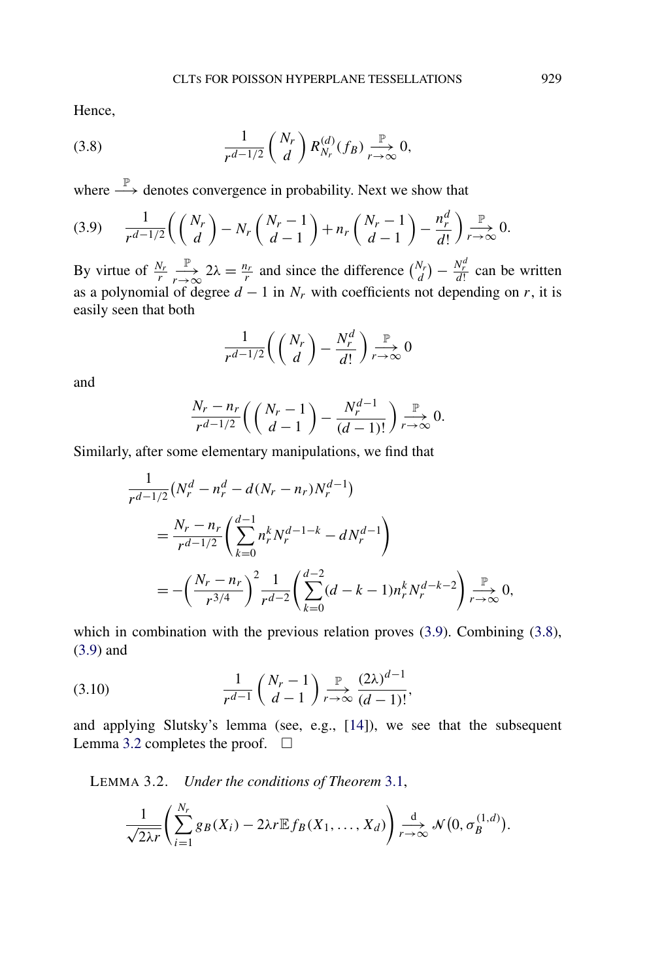<span id="page-10-0"></span>Hence,

(3.8) 
$$
\frac{1}{r^{d-1/2}}\binom{N_r}{d}R_{N_r}^{(d)}(f_B)\underset{r\to\infty}{\overset{\mathbb{P}}{\longrightarrow}}0,
$$

where  $\stackrel{\mathbb{P}}{\longrightarrow}$  denotes convergence in probability. Next we show that

$$
(3.9) \qquad \frac{1}{r^{d-1/2}}\left(\binom{N_r}{d}-N_r\binom{N_r-1}{d-1}+n_r\binom{N_r-1}{d-1}-\frac{n_r^d}{d!}\right)\underset{r\to\infty}{\overset{\mathbb{P}}{\longrightarrow}}0.
$$

By virtue of  $\frac{N_r}{r}$ P  $\frac{p}{r} \to 2\lambda = \frac{n_r}{r}$  and since the difference  $\binom{N_r}{d} - \frac{N_r^d}{d!}$  can be written as a polynomial of degree  $d - 1$  in  $N_r$  with coefficients not depending on  $r$ , it is easily seen that both

$$
\frac{1}{r^{d-1/2}}\left(\binom{N_r}{d}-\frac{N_r^d}{d!}\right)\underset{r\to\infty}{\overset{\mathbb{P}}{\longrightarrow}}0
$$

and

$$
\frac{N_r - n_r}{r^{d-1/2}} \left( \binom{N_r - 1}{d - 1} - \frac{N_r^{d-1}}{(d-1)!} \right) \underset{r \to \infty}{\overset{\mathbb{P}}{\longrightarrow}} 0.
$$

Similarly, after some elementary manipulations, we find that

$$
\frac{1}{r^{d-1/2}} \left( N_r^d - n_r^d - d(N_r - n_r) N_r^{d-1} \right)
$$
\n
$$
= \frac{N_r - n_r}{r^{d-1/2}} \left( \sum_{k=0}^{d-1} n_r^k N_r^{d-1-k} - dN_r^{d-1} \right)
$$
\n
$$
= -\left( \frac{N_r - n_r}{r^{3/4}} \right)^2 \frac{1}{r^{d-2}} \left( \sum_{k=0}^{d-2} (d - k - 1) n_r^k N_r^{d-k-2} \right) \xrightarrow[r \to \infty]{\mathbb{P}} 0,
$$

which in combination with the previous relation proves  $(3.9)$ . Combining  $(3.8)$ , (3.9) and

(3.10) 
$$
\frac{1}{r^{d-1}} \binom{N_r - 1}{d-1} \xrightarrow[r \to \infty]{\mathbb{P}} \frac{(2\lambda)^{d-1}}{(d-1)!},
$$

and applying Slutsky's lemma (see, e.g., [\[14\]](#page-30-0)), we see that the subsequent Lemma 3.2 completes the proof.  $\Box$ 

LEMMA 3.2. *Under the conditions of Theorem* [3.1,](#page-8-0)

$$
\frac{1}{\sqrt{2\lambda r}}\left(\sum_{i=1}^{N_r}g_B(X_i)-2\lambda r\mathbb{E} f_B(X_1,\ldots,X_d)\right)\underset{r\to\infty}{\overset{d}{\longrightarrow}}\mathcal{N}\big(0,\sigma_B^{(1,d)}\big).
$$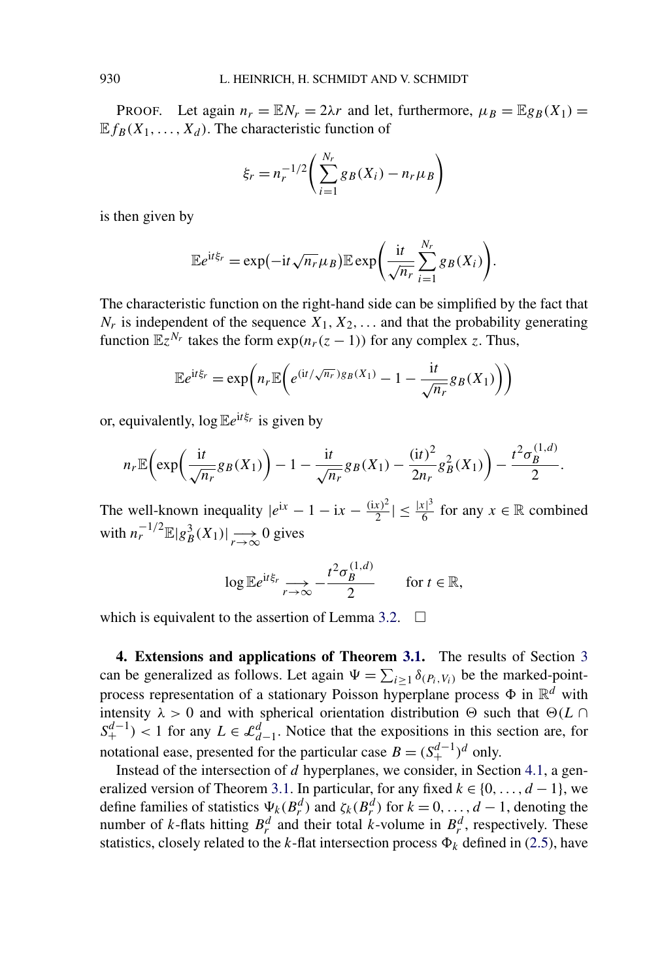<span id="page-11-0"></span>PROOF. Let again  $n_r = \mathbb{E} N_r = 2\lambda r$  and let, furthermore,  $\mu_B = \mathbb{E} g_B(X_1) =$  $E f_R(X_1, \ldots, X_d)$ . The characteristic function of

$$
\xi_r = n_r^{-1/2} \left( \sum_{i=1}^{N_r} g_B(X_i) - n_r \mu_B \right)
$$

is then given by

$$
\mathbb{E}e^{\mathrm{i}t\xi_r}=\exp(-\mathrm{i}t\sqrt{n_r}\mu_B)\mathbb{E}\exp\bigg(\frac{\mathrm{i}t}{\sqrt{n_r}}\sum_{i=1}^{N_r}g_B(X_i)\bigg).
$$

The characteristic function on the right-hand side can be simplified by the fact that  $N_r$  is independent of the sequence  $X_1, X_2, \ldots$  and that the probability generating function  $\mathbb{E}z^{N_r}$  takes the form  $\exp(n_r(z-1))$  for any complex *z*. Thus,

$$
\mathbb{E}e^{\mathrm{i}t\xi_r} = \exp\left(n_r \mathbb{E}\left(e^{(\mathrm{i}t/\sqrt{n_r})g_B(X_1)} - 1 - \frac{\mathrm{i}t}{\sqrt{n_r}}g_B(X_1)\right)\right)
$$

or, equivalently,  $\log \mathbb{E}e^{it\xi_r}$  is given by

$$
n_r \mathbb{E}\bigg(\exp\bigg(\frac{\mathrm{i}t}{\sqrt{n_r}}g_B(X_1)\bigg) - 1 - \frac{\mathrm{i}t}{\sqrt{n_r}}g_B(X_1) - \frac{(\mathrm{i}t)^2}{2n_r}g_B^2(X_1)\bigg) - \frac{t^2\sigma_B^{(1,d)}}{2}.
$$

The well-known inequality  $|e^{ix} - 1 - ix - \frac{(ix)^2}{2}| \leq \frac{|x|^3}{6}$  for any  $x \in \mathbb{R}$  combined with  $n_r^{-1/2} \mathbb{E} |g_B^3(X_1)| \longrightarrow \infty$  0 gives

$$
\log \mathbb{E} e^{it\xi_r} \xrightarrow[r \to \infty]{} -\frac{t^2 \sigma_B^{(1,d)}}{2} \qquad \text{for } t \in \mathbb{R},
$$

which is equivalent to the assertion of Lemma [3.2.](#page-10-0)  $\Box$ 

**4. Extensions and applications of Theorem [3.1.](#page-8-0)** The results of Section [3](#page-6-0) can be generalized as follows. Let again  $\Psi = \sum_{i \geq 1} \delta_{(P_i, V_i)}$  be the marked-pointprocess representation of a stationary Poisson hyperplane process  $\Phi$  in  $\mathbb{R}^d$  with intensity  $\lambda > 0$  and with spherical orientation distribution  $\Theta$  such that  $\Theta(L \cap$  $S^{d-1}_{+}$  < 1 for any  $L \in \mathcal{L}^d_{d-1}$ . Notice that the expositions in this section are, for notational ease, presented for the particular case  $B = (S_+^{d-1})^d$  only.

Instead of the intersection of *d* hyperplanes, we consider, in Section [4.1,](#page-12-0) a gen-eralized version of Theorem [3.1.](#page-8-0) In particular, for any fixed  $k \in \{0, \ldots, d-1\}$ , we define families of statistics  $\Psi_k(B_r^d)$  and  $\zeta_k(B_r^d)$  for  $k = 0, \ldots, d - 1$ , denoting the number of *k*-flats hitting  $B_r^d$  and their total *k*-volume in  $B_r^d$ , respectively. These statistics, closely related to the *k*-flat intersection process  $\Phi_k$  defined in [\(2.5\)](#page-4-0), have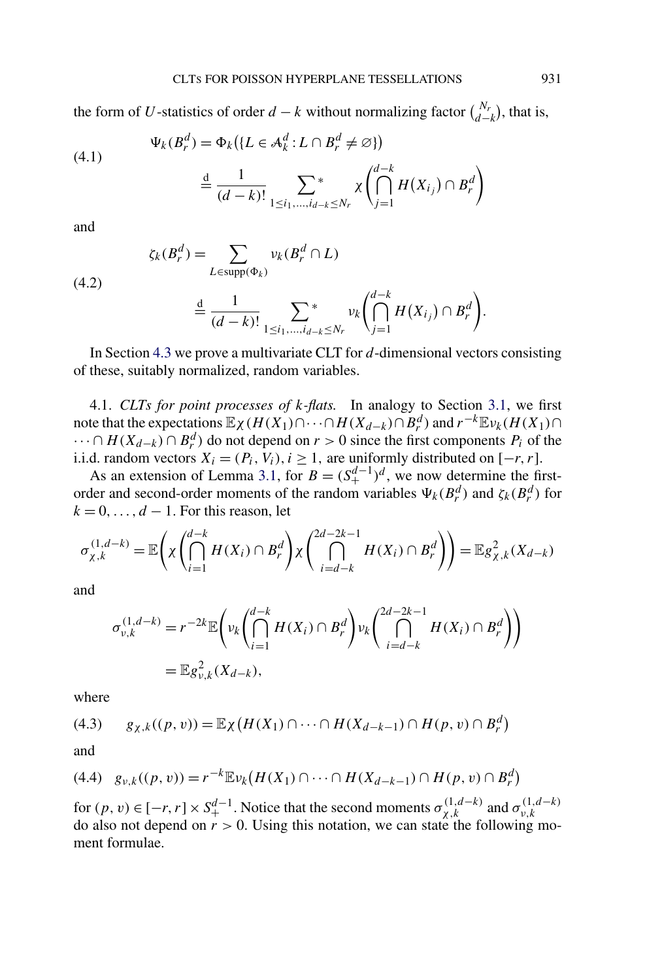<span id="page-12-0"></span>the form of *U*-statistics of order *d* − *k* without normalizing factor  $\binom{N_r}{d-k}$ , that is,

(4.1) 
$$
\Psi_k(B_r^d) = \Phi_k(\lbrace L \in \mathcal{A}_k^d : L \cap B_r^d \neq \varnothing \rbrace)
$$

$$
\stackrel{d}{=} \frac{1}{(d-k)!} \sum_{1 \le i_1, \dots, i_{d-k} \le N_r} \chi \left( \bigcap_{j=1}^{d-k} H(X_{i_j}) \cap B_r^d \right)
$$

and

(4.2)

$$
\zeta_k(B_r^d) = \sum_{L \in \text{supp}(\Phi_k)} \nu_k(B_r^d \cap L)
$$

$$
\stackrel{\text{d}}{=} \frac{1}{(d-k)!} \sum_{1 \leq i_1, \dots, i_{d-k} \leq N_r} \nu_k \left( \bigcap_{j=1}^{d-k} H(X_{i_j}) \cap B_r^d \right).
$$

In Section [4.3](#page-20-0) we prove a multivariate CLT for *d*-dimensional vectors consisting of these, suitably normalized, random variables.

4.1. *CLTs for point processes of k-flats.* In analogy to Section [3.1,](#page-7-0) we first note that the expectations  $\mathbb{E}_X(H(X_1) \cap \cdots \cap H(X_{d-k}) \cap B_r^d)$  and  $r^{-k} \mathbb{E}_{\nu_k}(H(X_1) \cap$  $\cdots \cap H(X_{d-k}) \cap B_r^d$  and depend on  $r > 0$  since the first components  $P_i$  of the i.i.d. random vectors  $X_i = (P_i, V_i), i \ge 1$ , are uniformly distributed on [−*r*, *r*].

As an extension of Lemma [3.1,](#page-7-0) for  $B = (S_+^{d-1})^d$ , we now determine the firstorder and second-order moments of the random variables  $\Psi_k(B_r^d)$  and  $\zeta_k(B_r^d)$  for  $k = 0, \ldots, d - 1$ . For this reason, let

$$
\sigma_{\chi,k}^{(1,d-k)} = \mathbb{E}\left(\chi\left(\bigcap_{i=1}^{d-k} H(X_i) \cap B_r^d\right) \chi\left(\bigcap_{i=d-k}^{2d-2k-1} H(X_i) \cap B_r^d\right)\right) = \mathbb{E}g_{\chi,k}^2(X_{d-k})
$$

and

$$
\sigma_{\nu,k}^{(1,d-k)} = r^{-2k} \mathbb{E}\left(\nu_k \left(\bigcap_{i=1}^{d-k} H(X_i) \cap B_r^d\right) \nu_k \left(\bigcap_{i=d-k}^{2d-2k-1} H(X_i) \cap B_r^d\right)\right)
$$
  
=  $\mathbb{E}g_{\nu,k}^2(X_{d-k}),$ 

where

$$
(4.3) \qquad g_{\chi,k}((p,v)) = \mathbb{E}_{\chi}(H(X_1) \cap \dots \cap H(X_{d-k-1}) \cap H(p,v) \cap B_r^d)
$$

and

$$
(4.4) \quad g_{\nu,k}((p,v)) = r^{-k} \mathbb{E} \nu_k(H(X_1) \cap \dots \cap H(X_{d-k-1}) \cap H(p,v) \cap B_r^d)
$$

for  $(p, v) \in [-r, r] \times S_+^{d-1}$ . Notice that the second moments  $\sigma_{\chi,k}^{(1,d-k)}$  and  $\sigma_{v,k}^{(1,d-k)}$  do also not depend on  $r > 0$ . Using this notation, we can state the following moment formulae.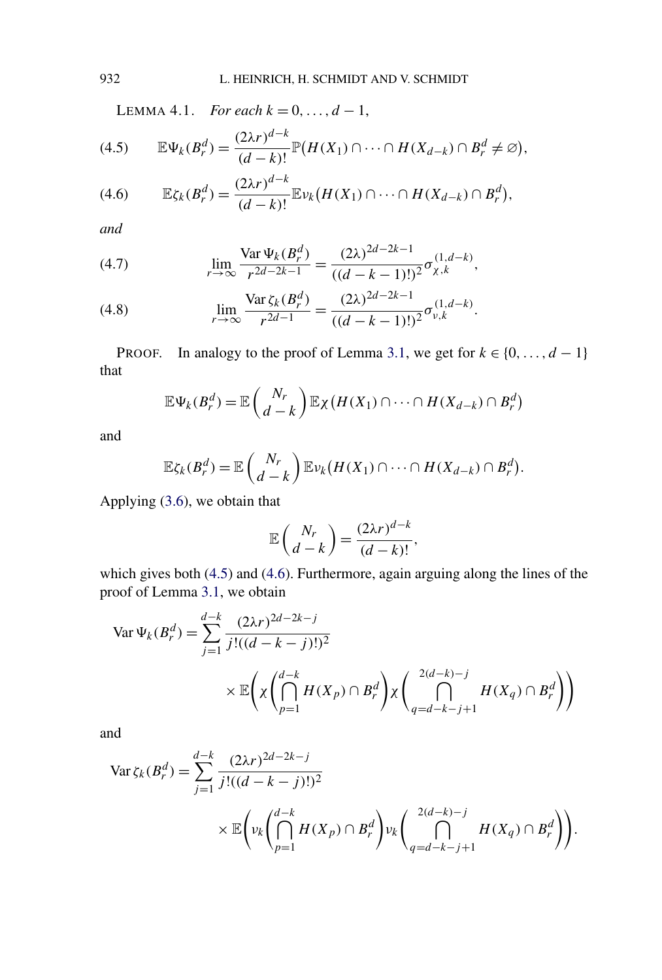LEMMA 4.1. *For each*  $k = 0, ..., d - 1$ ,

(4.5) 
$$
\mathbb{E}\Psi_k(B_r^d) = \frac{(2\lambda r)^{d-k}}{(d-k)!} \mathbb{P}\big(H(X_1) \cap \cdots \cap H(X_{d-k}) \cap B_r^d \neq \varnothing\big),
$$

$$
(4.6) \qquad \mathbb{E}\zeta_k(B_r^d) = \frac{(2\lambda r)^{d-k}}{(d-k)!}\mathbb{E}\nu_k\big(H(X_1)\cap\cdots\cap H(X_{d-k})\cap B_r^d\big),
$$

*and*

(4.7) 
$$
\lim_{r \to \infty} \frac{\text{Var}\,\Psi_k(B_r^d)}{r^{2d-2k-1}} = \frac{(2\lambda)^{2d-2k-1}}{((d-k-1)!)^2} \sigma_{\chi,k}^{(1,d-k)},
$$

(4.8) 
$$
\lim_{r \to \infty} \frac{\text{Var}\,\zeta_k(B_r^d)}{r^{2d-1}} = \frac{(2\lambda)^{2d-2k-1}}{((d-k-1)!)^2} \sigma_{\nu,k}^{(1,d-k)}.
$$

PROOF. In analogy to the proof of Lemma [3.1,](#page-7-0) we get for  $k \in \{0, ..., d - 1\}$ that

$$
\mathbb{E}\Psi_k(B_r^d) = \mathbb{E}\left(\begin{matrix}N_r\\d-k\end{matrix}\right)\mathbb{E}\chi\left(H(X_1)\cap\cdots\cap H(X_{d-k})\cap B_r^d\right)
$$

and

$$
\mathbb{E}\zeta_k(B_r^d)=\mathbb{E}\left(\begin{matrix}N_r\\d-k\end{matrix}\right)\mathbb{E}\nu_k\big(H(X_1)\cap\cdots\cap H(X_{d-k})\cap B_r^d\big).
$$

Applying [\(3.6\)](#page-7-0), we obtain that

$$
\mathbb{E}\left(\frac{N_r}{d-k}\right) = \frac{(2\lambda r)^{d-k}}{(d-k)!},
$$

which gives both (4.5) and (4.6). Furthermore, again arguing along the lines of the proof of Lemma [3.1,](#page-7-0) we obtain

$$
\begin{aligned} \text{Var}\,\Psi_k(B_r^d) &= \sum_{j=1}^{d-k} \frac{(2\lambda r)^{2d-2k-j}}{j!(d-k-j)!)^2} \\ &\times \mathbb{E}\Bigg(\chi\Bigg(\bigcap_{p=1}^{d-k} H(X_p) \cap B_r^d\Bigg)\chi\Bigg(\bigcap_{q=d-k-j+1}^{2(d-k)-j} H(X_q) \cap B_r^d\Bigg)\Bigg) \end{aligned}
$$

and

$$
\begin{split} \text{Var}\,\zeta_{k}(B_{r}^{d}) &= \sum_{j=1}^{d-k} \frac{(2\lambda r)^{2d-2k-j}}{j!((d-k-j)!)^{2}} \\ &\times \mathbb{E}\Bigg(\nu_{k}\Bigg(\bigcap_{p=1}^{d-k} H(X_{p}) \cap B_{r}^{d}\Bigg)\nu_{k}\Bigg(\bigcap_{q=d-k-j+1}^{2(d-k)-j} H(X_{q}) \cap B_{r}^{d}\Bigg)\Bigg). \end{split}
$$

<span id="page-13-0"></span>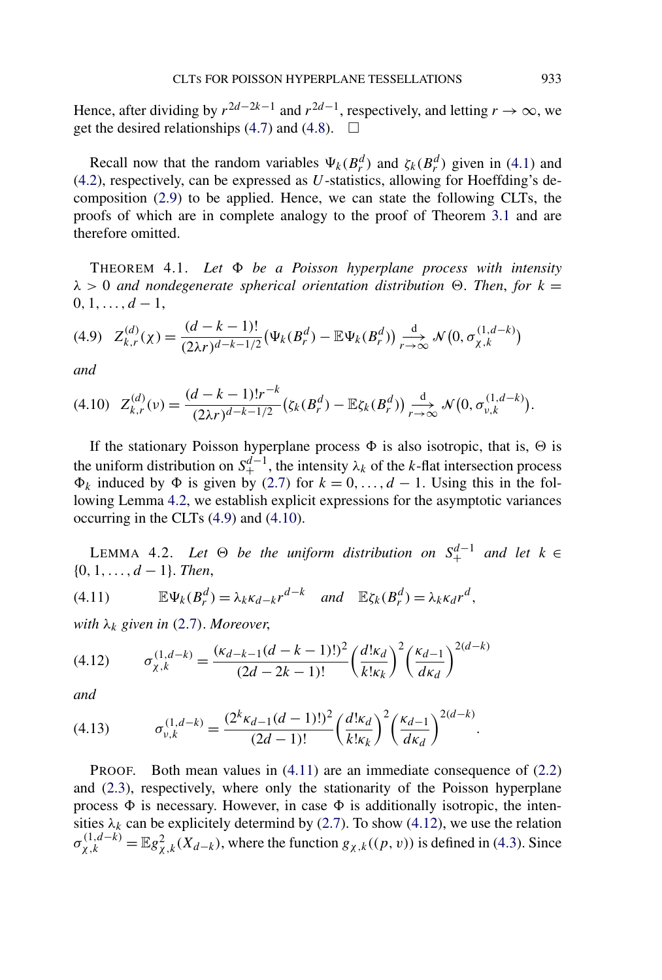<span id="page-14-0"></span>Hence, after dividing by  $r^{2d-2k-1}$  and  $r^{2d-1}$ , respectively, and letting  $r \to \infty$ , we get the desired relationships [\(4.7\)](#page-13-0) and [\(4.8\)](#page-13-0).  $\Box$ 

Recall now that the random variables  $\Psi_k(B_r^d)$  and  $\zeta_k(B_r^d)$  given in [\(4.1\)](#page-12-0) and [\(4.2\)](#page-12-0), respectively, can be expressed as *U*-statistics, allowing for Hoeffding's decomposition [\(2.9\)](#page-5-0) to be applied. Hence, we can state the following CLTs, the proofs of which are in complete analogy to the proof of Theorem [3.1](#page-8-0) and are therefore omitted.

THEOREM 4.1. *Let be a Poisson hyperplane process with intensity*  $λ > 0$  *and nondegenerate spherical orientation distribution*  $Θ$ . *Then, for*  $k =$  $0, 1, \ldots, d-1,$ 

$$
(4.9) \quad Z_{k,r}^{(d)}(\chi) = \frac{(d-k-1)!}{(2\lambda r)^{d-k-1/2}} \big(\Psi_k(B_r^d) - \mathbb{E}\Psi_k(B_r^d)\big) \underset{r \to \infty}{\overset{d}{\to}} \mathcal{N}\big(0, \sigma_{\chi,k}^{(1,d-k)}\big)
$$

*and*

$$
(4.10) \quad Z_{k,r}^{(d)}(\nu) = \frac{(d-k-1)!r^{-k}}{(2\lambda r)^{d-k-1/2}} \big(\zeta_k(B_r^d) - \mathbb{E}\zeta_k(B_r^d)\big) \underset{r \to \infty}{\overset{d}{\longrightarrow}} \mathcal{N}\big(0, \sigma_{\nu,k}^{(1,d-k)}\big).
$$

If the stationary Poisson hyperplane process  $\Phi$  is also isotropic, that is,  $\Theta$  is the uniform distribution on  $S^{d-1}_+$ , the intensity  $\lambda_k$  of the *k*-flat intersection process  $\Phi_k$  induced by  $\Phi$  is given by [\(2.7\)](#page-5-0) for  $k = 0, \ldots, d - 1$ . Using this in the following Lemma 4.2, we establish explicit expressions for the asymptotic variances occurring in the CLTs (4.9) and (4.10).

LEMMA 4.2. Let  $\Theta$  be the uniform distribution on  $S_+^{d-1}$  and let  $k \in \Theta$ {0*,* 1*,...,d* − 1}. *Then*,

(4.11) 
$$
\mathbb{E}\Psi_k(B_r^d)=\lambda_k\kappa_{d-k}r^{d-k} \quad \text{and} \quad \mathbb{E}\zeta_k(B_r^d)=\lambda_k\kappa_d r^d,
$$

*with*  $\lambda_k$  *given in* ([2](#page-5-0).7). *Moreover*,

$$
(4.12) \qquad \sigma_{\chi,k}^{(1,d-k)} = \frac{(\kappa_{d-k-1}(d-k-1)!)^2}{(2d-2k-1)!} \left(\frac{d! \kappa_d}{k! \kappa_k}\right)^2 \left(\frac{\kappa_{d-1}}{d \kappa_d}\right)^{2(d-k)}
$$

*and*

$$
(4.13) \t\t \sigma_{\nu,k}^{(1,d-k)} = \frac{(2^k \kappa_{d-1}(d-1)!)^2}{(2d-1)!} \left(\frac{d! \kappa_d}{k! \kappa_k}\right)^2 \left(\frac{\kappa_{d-1}}{d \kappa_d}\right)^{2(d-k)}.
$$

PROOF. Both mean values in (4.11) are an immediate consequence of [\(2.2\)](#page-3-0) and [\(2.3\)](#page-4-0), respectively, where only the stationarity of the Poisson hyperplane process  $\Phi$  is necessary. However, in case  $\Phi$  is additionally isotropic, the intensities  $\lambda_k$  can be explicitely determind by [\(2.7\)](#page-5-0). To show (4.12), we use the relation  $\sigma_{\chi,k}^{(1,d-k)} = \mathbb{E} g_{\chi,k}^2(\chi_{d-k}),$  where the function  $g_{\chi,k}((p, v))$  is defined in [\(4.3\)](#page-12-0). Since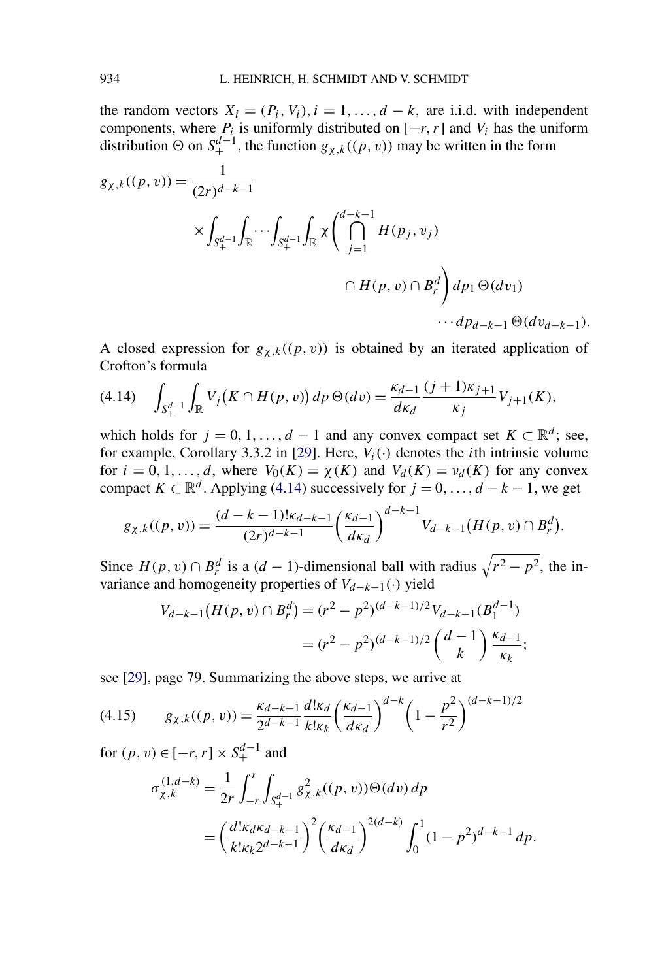<span id="page-15-0"></span>the random vectors  $X_i = (P_i, V_i), i = 1, ..., d - k$ , are i.i.d. with independent components, where  $P_i$  is uniformly distributed on  $[-r, r]$  and  $V_i$  has the uniform distribution  $\Theta$  on  $S^{d-1}_+$ , the function  $g_{\chi,k}((p, v))$  may be written in the form

$$
g_{\chi,k}((p,v)) = \frac{1}{(2r)^{d-k-1}}
$$
  
 
$$
\times \int_{S_+^{d-1}} \int_{\mathbb{R}} \cdots \int_{S_+^{d-1}} \int_{\mathbb{R}} \chi \left( \bigcap_{j=1}^{d-k-1} H(p_j, v_j) - H(p, v) \cap B_r^d \right) dp_1 \Theta(dv_1)
$$
  
 
$$
\cdots dp_{d-k-1} \Theta(dv_{d-k-1}).
$$

A closed expression for  $g_{\chi,k}((p, v))$  is obtained by an iterated application of Crofton's formula

$$
(4.14) \quad \int_{S_+^{d-1}} \int_{\mathbb{R}} V_j(K \cap H(p, v)) \, dp \, \Theta(dv) = \frac{\kappa_{d-1}}{d\kappa_d} \frac{(j+1)\kappa_{j+1}}{\kappa_j} V_{j+1}(K),
$$

which holds for  $j = 0, 1, ..., d - 1$  and any convex compact set  $K \subset \mathbb{R}^d$ ; see, for example, Corollary 3.3.2 in [\[29\]](#page-31-0). Here,  $V_i(\cdot)$  denotes the *i*th intrinsic volume for  $i = 0, 1, \ldots, d$ , where  $V_0(K) = \chi(K)$  and  $V_d(K) = v_d(K)$  for any convex compact  $K \subset \mathbb{R}^d$ . Applying (4.14) successively for  $j = 0, ..., d - k - 1$ , we get

$$
g_{\chi,k}((p,v)) = \frac{(d-k-1)! \kappa_{d-k-1}}{(2r)^{d-k-1}} \left(\frac{\kappa_{d-1}}{d\kappa_d}\right)^{d-k-1} V_{d-k-1}(H(p,v) \cap B_r^d).
$$

Since  $H(p, v) \cap B_r^d$  is a  $(d - 1)$ -dimensional ball with radius  $\sqrt{r^2 - p^2}$ , the invariance and homogeneity properties of *Vd*<sup>−</sup>*k*−1*(*·*)* yield

$$
V_{d-k-1}(H(p, v) \cap B_r^d) = (r^2 - p^2)^{(d-k-1)/2} V_{d-k-1}(B_1^{d-1})
$$
  
= 
$$
(r^2 - p^2)^{(d-k-1)/2} \binom{d-1}{k} \frac{\kappa_{d-1}}{\kappa_k};
$$

see [\[29\]](#page-31-0), page 79. Summarizing the above steps, we arrive at

$$
(4.15) \qquad g_{\chi,k}((p,v)) = \frac{\kappa_{d-k-1}}{2^{d-k-1}} \frac{d! \kappa_d}{k! \kappa_k} \left(\frac{\kappa_{d-1}}{d \kappa_d}\right)^{d-k} \left(1 - \frac{p^2}{r^2}\right)^{(d-k-1)/2}
$$

for  $(p, v) \in [-r, r] \times S_+^{d-1}$  and

$$
\sigma_{\chi,k}^{(1,d-k)} = \frac{1}{2r} \int_{-r}^{r} \int_{S_+^{d-1}} g_{\chi,k}^2((p,v)) \Theta(dv) \, dp
$$
\n
$$
= \left(\frac{d! \kappa_d \kappa_{d-k-1}}{k! \kappa_k 2^{d-k-1}}\right)^2 \left(\frac{\kappa_{d-1}}{d \kappa_d}\right)^{2(d-k)} \int_0^1 (1-p^2)^{d-k-1} \, dp.
$$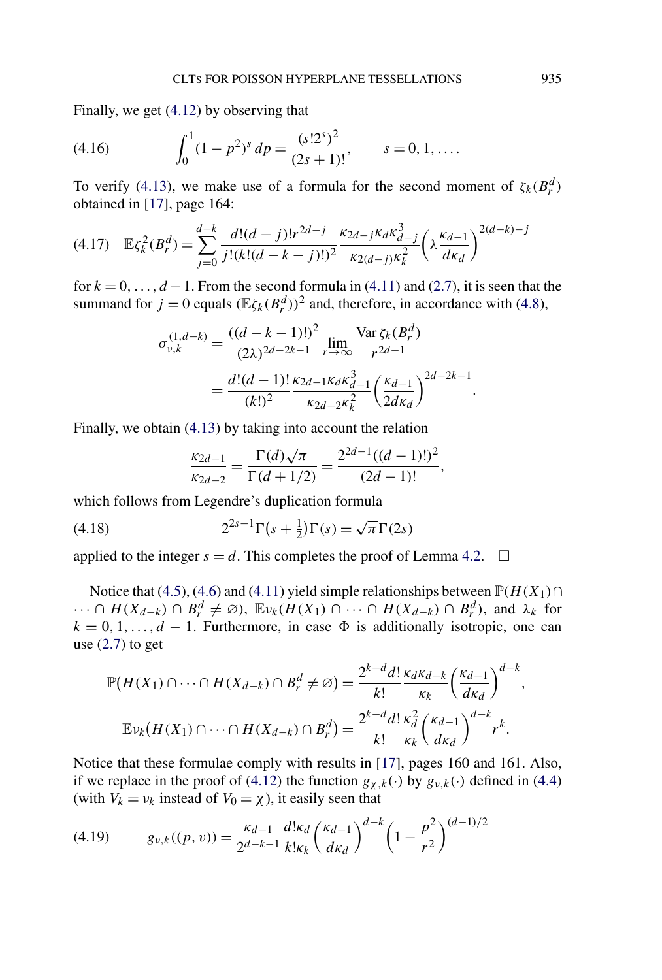<span id="page-16-0"></span>Finally, we get [\(4.12\)](#page-14-0) by observing that

(4.16) 
$$
\int_0^1 (1 - p^2)^s dp = \frac{(s!2^s)^2}{(2s+1)!}, \qquad s = 0, 1, ....
$$

To verify [\(4.13\)](#page-14-0), we make use of a formula for the second moment of  $\zeta_k(B_r^d)$ obtained in [\[17\]](#page-30-0), page 164:

$$
(4.17) \quad \mathbb{E}\zeta_k^2(B_r^d) = \sum_{j=0}^{d-k} \frac{d!(d-j)!r^{2d-j}}{j!(k!(d-k-j)!)^2} \frac{\kappa_{2d-j}\kappa_d \kappa_{d-j}^3}{\kappa_{2(d-j)}\kappa_k^2} \left(\lambda \frac{\kappa_{d-1}}{d\kappa_d}\right)^{2(d-k)-j}
$$

for  $k = 0, \ldots, d - 1$ . From the second formula in [\(4.11\)](#page-14-0) and [\(2.7\)](#page-5-0), it is seen that the summand for  $j = 0$  equals  $(\mathbb{E}\zeta_k(B_r^d))^2$  and, therefore, in accordance with [\(4.8\)](#page-13-0),

$$
\sigma_{\nu,k}^{(1,d-k)} = \frac{((d-k-1)!)^2}{(2\lambda)^{2d-2k-1}} \lim_{r \to \infty} \frac{\text{Var}\,\zeta_k(B_r^d)}{r^{2d-1}}
$$

$$
= \frac{d!(d-1)!}{(k!)^2} \frac{\kappa_{2d-1}\kappa_d \kappa_{d-1}^3}{\kappa_{2d-2}\kappa_k^2} \left(\frac{\kappa_{d-1}}{2d\kappa_d}\right)^{2d-2k-1}.
$$

Finally, we obtain [\(4.13\)](#page-14-0) by taking into account the relation

$$
\frac{\kappa_{2d-1}}{\kappa_{2d-2}} = \frac{\Gamma(d)\sqrt{\pi}}{\Gamma(d+1/2)} = \frac{2^{2d-1}((d-1)!)^2}{(2d-1)!},
$$

which follows from Legendre's duplication formula

(4.18) 
$$
2^{2s-1}\Gamma(s+\tfrac{1}{2})\Gamma(s) = \sqrt{\pi}\Gamma(2s)
$$

applied to the integer  $s = d$ . This completes the proof of Lemma [4.2.](#page-14-0)  $\Box$ 

Notice that [\(4.5\)](#page-13-0), [\(4.6\)](#page-13-0) and [\(4.11\)](#page-14-0) yield simple relationships between  $\mathbb{P}(H(X_1) \cap$  $\cdots \cap H(X_{d-k}) \cap B_r^d \neq \emptyset$ ,  $\mathbb{E}_{\nu_k}(H(X_1) \cap \cdots \cap H(X_{d-k}) \cap B_r^d)$ , and  $\lambda_k$  for  $k = 0, 1, \ldots, d - 1$ . Furthermore, in case  $\Phi$  is additionally isotropic, one can use  $(2.7)$  to get

$$
\mathbb{P}(H(X_1) \cap \dots \cap H(X_{d-k}) \cap B_r^d \neq \varnothing) = \frac{2^{k-d}d!}{k!} \frac{\kappa_d \kappa_{d-k}}{\kappa_k} \left(\frac{\kappa_{d-1}}{d\kappa_d}\right)^{d-k},
$$

$$
\mathbb{E} \nu_k (H(X_1) \cap \dots \cap H(X_{d-k}) \cap B_r^d) = \frac{2^{k-d}d!}{k!} \frac{\kappa_d^2}{\kappa_k} \left(\frac{\kappa_{d-1}}{d\kappa_d}\right)^{d-k} r^k.
$$

Notice that these formulae comply with results in [\[17\]](#page-30-0), pages 160 and 161. Also, if we replace in the proof of [\(4.12\)](#page-14-0) the function  $g_{\gamma,k}(\cdot)$  by  $g_{\gamma,k}(\cdot)$  defined in [\(4.4\)](#page-12-0) (with  $V_k = v_k$  instead of  $V_0 = \chi$ ), it easily seen that

(4.19) 
$$
g_{\nu,k}((p,v)) = \frac{\kappa_{d-1}}{2^{d-k-1}} \frac{d! \kappa_d}{k! \kappa_k} \left(\frac{\kappa_{d-1}}{d \kappa_d}\right)^{d-k} \left(1 - \frac{p^2}{r^2}\right)^{(d-1)/2}
$$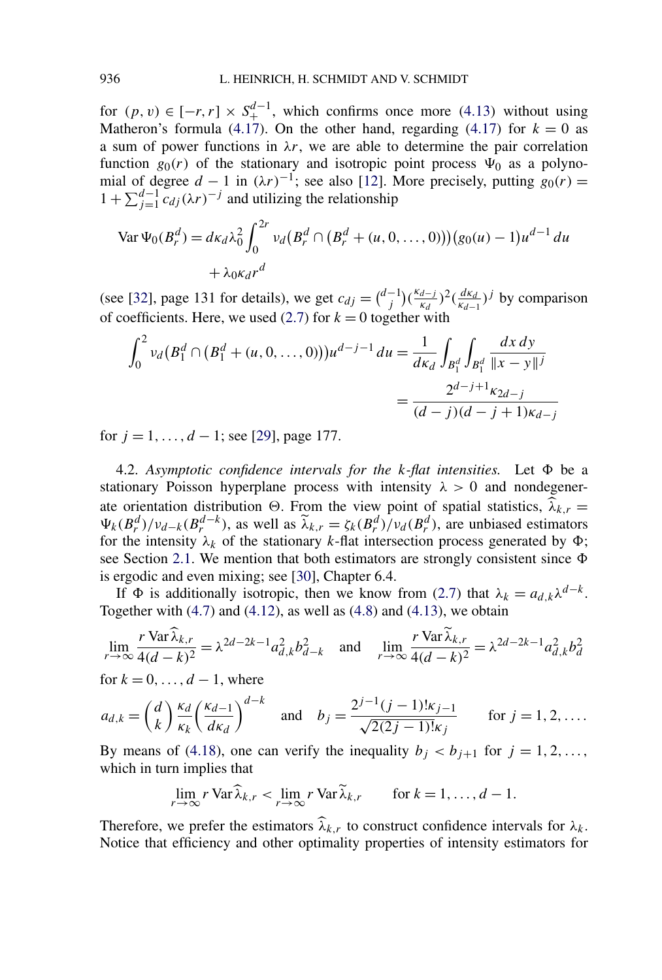<span id="page-17-0"></span>for  $(p, v) \in [-r, r] \times S_+^{d-1}$ , which confirms once more (4.[13](#page-14-0)) without using Matheron's formula [\(4.17\)](#page-16-0). On the other hand, regarding (4.17) for  $k = 0$  as a sum of power functions in  $\lambda r$ , we are able to determine the pair correlation function  $g_0(r)$  of the stationary and isotropic point process  $\Psi_0$  as a polynomial of degree  $d - 1$  in  $(\lambda r)^{-1}$ ; see also [\[12\]](#page-30-0). More precisely, putting  $g_0(r) =$  $1 + \sum_{j=1}^{d-1} c_{dj}(\lambda r)^{-j}$  and utilizing the relationship

$$
\text{Var}\,\Psi_0(B_r^d) = d\kappa_d\lambda_0^2 \int_0^{2r} \nu_d(B_r^d \cap (B_r^d + (u, 0, ..., 0)))(g_0(u) - 1)u^{d-1} \, du
$$
\n
$$
+ \lambda_0 \kappa_d r^d
$$

(see [\[32\]](#page-31-0), page 131 for details), we get  $c_{dj} = \binom{d-1}{j} \left(\frac{\kappa_{d-j}}{\kappa_d}\right)^2 \left(\frac{d\kappa_d}{\kappa_{d-1}}\right)^j$  by comparison of coefficients. Here, we used  $(2.7)$  for  $k = 0$  together with

$$
\int_0^2 v_d (B_1^d \cap (B_1^d + (u, 0, ..., 0))) u^{d-j-1} du = \frac{1}{d\kappa_d} \int_{B_1^d} \int_{B_1^d} \frac{dx \, dy}{||x - y||^j}
$$

$$
= \frac{2^{d-j+1} \kappa_{2d-j}}{(d-j)(d-j+1)\kappa_{d-j}}
$$

for *j* = 1*,...,d* − 1; see [\[29\]](#page-31-0), page 177.

4.2. Asymptotic confidence intervals for the  $k$ -flat intensities. Let  $\Phi$  be a stationary Poisson hyperplane process with intensity  $\lambda > 0$  and nondegenerate orientation distribution  $\Theta$ . From the view point of spatial statistics,  $\hat{\lambda}_{k,r}$  $\Psi_k(B_r^d)/\nu_{d-k}(B_r^{d-k})$ , as well as  $\tilde{\lambda}_{k,r} = \zeta_k(B_r^d)/\nu_d(B_r^d)$ , are unbiased estimators for the intensity  $\lambda_k$  of the stationary *k*-flat intersection process generated by  $\Phi$ ; see Section [2.1.](#page-3-0) We mention that both estimators are strongly consistent since  $\Phi$ is ergodic and even mixing; see [\[30\]](#page-31-0), Chapter 6.4.

If  $\Phi$  is additionally isotropic, then we know from [\(2.7\)](#page-5-0) that  $\lambda_k = a_{d,k} \lambda^{d-k}$ . Together with  $(4.7)$  and  $(4.12)$ , as well as  $(4.8)$  and  $(4.13)$ , we obtain

$$
\lim_{r \to \infty} \frac{r \operatorname{Var} \lambda_{k,r}}{4(d-k)^2} = \lambda^{2d-2k-1} a_{d,k}^2 b_{d-k}^2 \quad \text{and} \quad \lim_{r \to \infty} \frac{r \operatorname{Var} \lambda_{k,r}}{4(d-k)^2} = \lambda^{2d-2k-1} a_{d,k}^2 b_d^2
$$

for  $k = 0, \ldots, d - 1$ , where

$$
a_{d,k} = \binom{d}{k} \frac{\kappa_d}{\kappa_k} \left(\frac{\kappa_{d-1}}{d\kappa_d}\right)^{d-k} \quad \text{and} \quad b_j = \frac{2^{j-1}(j-1)! \kappa_{j-1}}{\sqrt{2(2j-1)! \kappa_j}} \qquad \text{for } j = 1, 2, \dots.
$$

By means of [\(4.18\)](#page-16-0), one can verify the inequality  $b_j < b_{j+1}$  for  $j = 1, 2, \ldots$ , which in turn implies that

$$
\lim_{r \to \infty} r \operatorname{Var} \widehat{\lambda}_{k,r} < \lim_{r \to \infty} r \operatorname{Var} \widetilde{\lambda}_{k,r} \qquad \text{for } k = 1, \dots, d - 1.
$$

Therefore, we prefer the estimators  $\widehat{\lambda}_{k,r}$  to construct confidence intervals for  $\lambda_k$ . Notice that efficiency and other optimality properties of intensity estimators for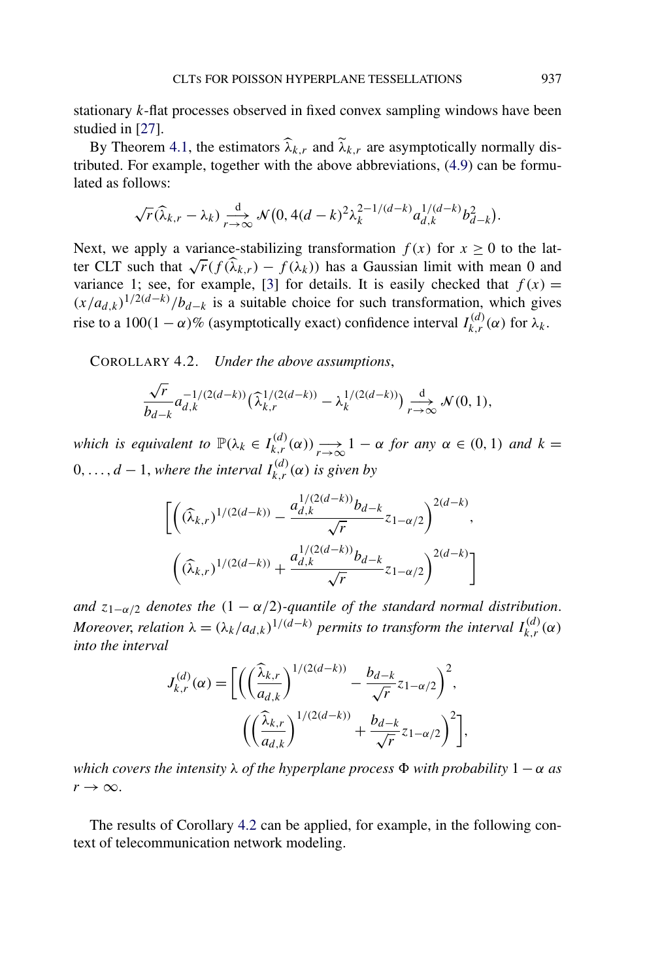<span id="page-18-0"></span>stationary *k*-flat processes observed in fixed convex sampling windows have been studied in [\[27\]](#page-30-0).

By Theorem [4.1,](#page-14-0) the estimators  $\widehat{\lambda}_{k,r}$  and  $\widetilde{\lambda}_{k,r}$  are asymptotically normally distributed. For example, together with the above abbreviations, [\(4.9\)](#page-14-0) can be formulated as follows:

$$
\sqrt{r}(\widehat{\lambda}_{k,r}-\lambda_k)\underset{r\to\infty}{\longrightarrow}\mathcal{N}\big(0,4(d-k)^2\lambda_k^{2-1/(d-k)}a_{d,k}^{1/(d-k)}b_{d-k}^2\big).
$$

Next, we apply a variance-stabilizing transformation  $f(x)$  for  $x \ge 0$  to the latter CLT such that  $\sqrt{r}(f(\widehat{\lambda}_{k,r}) - f(\lambda_k))$  has a Gaussian limit with mean 0 and variance 1; see, for example, [\[3\]](#page-29-0) for details. It is easily checked that  $f(x) =$  $(x/a_{d,k})^{1/2(d-k)}/b_{d-k}$  is a suitable choice for such transformation, which gives rise to a 100 $(1 - \alpha)$ % (asymptotically exact) confidence interval  $I_{k,r}^{(d)}(\alpha)$  for  $\lambda_k$ .

COROLLARY 4.2. *Under the above assumptions*,

$$
\frac{\sqrt{r}}{b_{d-k}} a_{d,k}^{-1/(2(d-k))} \left(\widehat{\lambda}_{k,r}^{1/(2(d-k))} - \lambda_k^{1/(2(d-k))}\right) \underset{r \to \infty}{\overset{d}{\longrightarrow}} \mathcal{N}(0,1),
$$

*which is equivalent to*  $\mathbb{P}(\lambda_k \in I_{k,r}^{(d)}(\alpha)) \longrightarrow_{r \to \infty} 1 - \alpha$  *for any*  $\alpha \in (0,1)$  *and*  $k =$  $0, \ldots, d-1$ , *where the interval*  $I_{k,r}^{(d)}(\alpha)$  *is given by* 

$$
\begin{aligned}\n&\left[\left((\widehat{\lambda}_{k,r})^{1/(2(d-k))} - \frac{a_{d,k}^{1/(2(d-k))}b_{d-k}}{\sqrt{r}} z_{1-\alpha/2}\right)^{2(d-k)},\right. \\
&\left. \left((\widehat{\lambda}_{k,r})^{1/(2(d-k))} + \frac{a_{d,k}^{1/(2(d-k))}b_{d-k}}{\sqrt{r}} z_{1-\alpha/2}\right)^{2(d-k)}\right]\n\end{aligned}
$$

*and*  $z_{1-\alpha/2}$  *denotes the*  $(1 - \alpha/2)$ *-quantile of the standard normal distribution. Moreover, relation*  $\lambda = (\lambda_k/a_{d,k})^{1/(d-k)}$  *permits to transform the interval*  $I_{k,r}^{(d)}(\alpha)$ *into the interval*

$$
J_{k,r}^{(d)}(\alpha) = \left[ \left( \left( \frac{\widehat{\lambda}_{k,r}}{a_{d,k}} \right)^{1/(2(d-k))} - \frac{b_{d-k}}{\sqrt{r}} z_{1-\alpha/2} \right)^2, \right. \\ \left. \left( \left( \frac{\widehat{\lambda}_{k,r}}{a_{d,k}} \right)^{1/(2(d-k))} + \frac{b_{d-k}}{\sqrt{r}} z_{1-\alpha/2} \right)^2 \right],
$$

*which covers the intensity*  $\lambda$  *of the hyperplane process*  $\Phi$  *with probability*  $1 - \alpha$  *as*  $r \rightarrow \infty$ .

The results of Corollary 4.2 can be applied, for example, in the following context of telecommunication network modeling.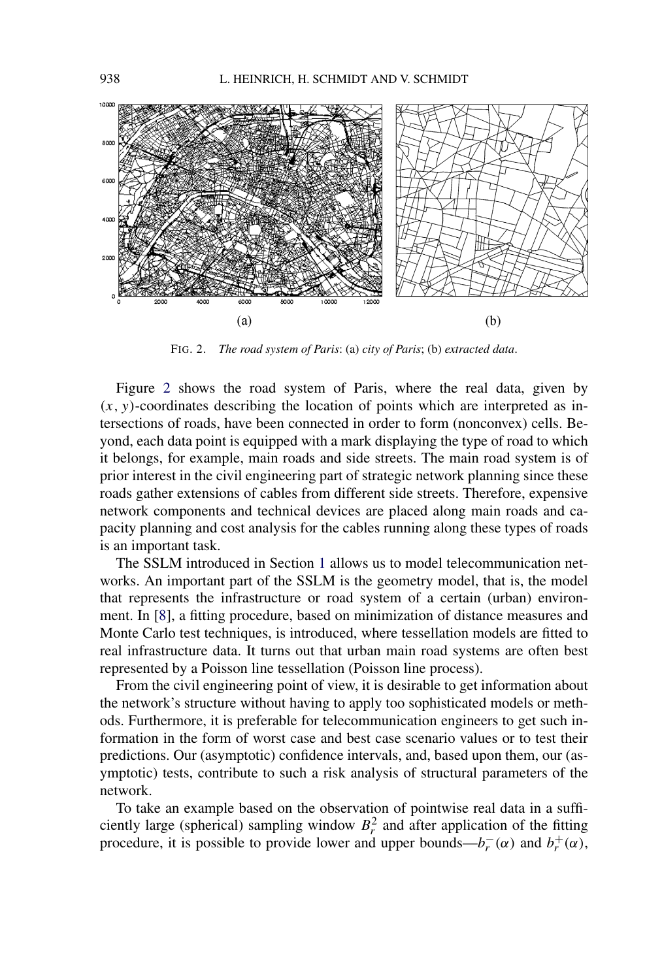

FIG. 2. *The road system of Paris*: (a) *city of Paris*; (b) *extracted data*.

Figure 2 shows the road system of Paris, where the real data, given by  $(x, y)$ -coordinates describing the location of points which are interpreted as intersections of roads, have been connected in order to form (nonconvex) cells. Beyond, each data point is equipped with a mark displaying the type of road to which it belongs, for example, main roads and side streets. The main road system is of prior interest in the civil engineering part of strategic network planning since these roads gather extensions of cables from different side streets. Therefore, expensive network components and technical devices are placed along main roads and capacity planning and cost analysis for the cables running along these types of roads is an important task.

The SSLM introduced in Section [1](#page-0-0) allows us to model telecommunication networks. An important part of the SSLM is the geometry model, that is, the model that represents the infrastructure or road system of a certain (urban) environment. In [\[8\]](#page-30-0), a fitting procedure, based on minimization of distance measures and Monte Carlo test techniques, is introduced, where tessellation models are fitted to real infrastructure data. It turns out that urban main road systems are often best represented by a Poisson line tessellation (Poisson line process).

From the civil engineering point of view, it is desirable to get information about the network's structure without having to apply too sophisticated models or methods. Furthermore, it is preferable for telecommunication engineers to get such information in the form of worst case and best case scenario values or to test their predictions. Our (asymptotic) confidence intervals, and, based upon them, our (asymptotic) tests, contribute to such a risk analysis of structural parameters of the network.

To take an example based on the observation of pointwise real data in a sufficiently large (spherical) sampling window  $B_r^2$  and after application of the fitting procedure, it is possible to provide lower and upper bounds— $b_r^-(\alpha)$  and  $b_r^+(\alpha)$ ,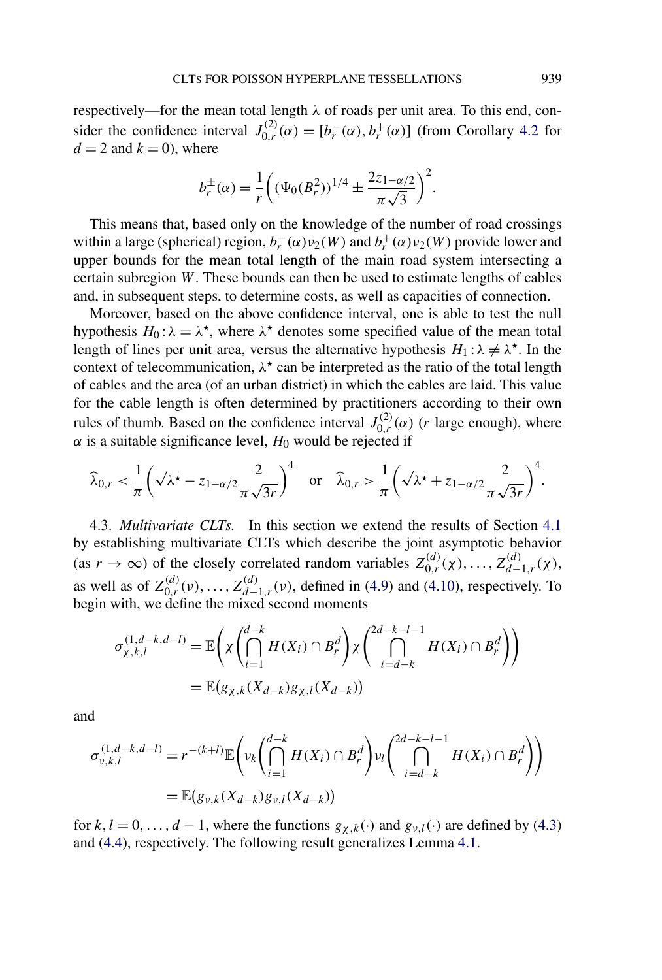<span id="page-20-0"></span>respectively—for the mean total length *λ* of roads per unit area. To this end, consider the confidence interval  $J_{0,r}^{(2)}(\alpha) = [b_r^-(\alpha), b_r^+(\alpha)]$  (from Corollary [4.2](#page-18-0) for  $d = 2$  and  $k = 0$ , where

$$
b_r^{\pm}(\alpha) = \frac{1}{r} \left( (\Psi_0(B_r^2))^{1/4} \pm \frac{2z_{1-\alpha/2}}{\pi \sqrt{3}} \right)^2.
$$

This means that, based only on the knowledge of the number of road crossings within a large (spherical) region,  $b_r^-(\alpha)v_2(W)$  and  $b_r^+(\alpha)v_2(W)$  provide lower and upper bounds for the mean total length of the main road system intersecting a certain subregion *W*. These bounds can then be used to estimate lengths of cables and, in subsequent steps, to determine costs, as well as capacities of connection.

Moreover, based on the above confidence interval, one is able to test the null hypothesis  $H_0: \lambda = \lambda^*$ , where  $\lambda^*$  denotes some specified value of the mean total length of lines per unit area, versus the alternative hypothesis  $H_1: \lambda \neq \lambda^*$ . In the context of telecommunication,  $\lambda^*$  can be interpreted as the ratio of the total length of cables and the area (of an urban district) in which the cables are laid. This value for the cable length is often determined by practitioners according to their own rules of thumb. Based on the confidence interval  $J_{0,r}^{(2)}(\alpha)$  (*r* large enough), where  $\alpha$  is a suitable significance level,  $H_0$  would be rejected if

$$
\widehat{\lambda}_{0,r} < \frac{1}{\pi} \left( \sqrt{\lambda^{\star}} - z_{1-\alpha/2} \frac{2}{\pi \sqrt{3r}} \right)^4 \quad \text{or} \quad \widehat{\lambda}_{0,r} > \frac{1}{\pi} \left( \sqrt{\lambda^{\star}} + z_{1-\alpha/2} \frac{2}{\pi \sqrt{3r}} \right)^4.
$$

4.3. *Multivariate CLTs.* In this section we extend the results of Section [4.1](#page-12-0) by establishing multivariate CLTs which describe the joint asymptotic behavior  $(\text{as } r \to \infty)$  of the closely correlated random variables  $Z_{0,r}^{(d)}(\chi), \ldots, Z_{d-1,r}^{(d)}(\chi)$ , as well as of  $Z_{0,r}^{(d)}(v), \ldots, Z_{d-1,r}^{(d)}(v)$ , defined in [\(4.9\)](#page-14-0) and [\(4.10\)](#page-14-0), respectively. To begin with, we define the mixed second moments

$$
\sigma_{\chi,k,l}^{(1,d-k,d-l)} = \mathbb{E}\left(\chi\left(\bigcap_{i=1}^{d-k} H(X_i) \cap B_r^d\right) \chi\left(\bigcap_{i=d-k}^{2d-k-l-1} H(X_i) \cap B_r^d\right)\right)
$$
  
= 
$$
\mathbb{E}(g_{\chi,k}(X_{d-k})g_{\chi,l}(X_{d-k}))
$$

and

$$
\sigma_{\nu,k,l}^{(1,d-k,d-l)} = r^{-(k+l)} \mathbb{E} \left( \nu_k \left( \bigcap_{i=1}^{d-k} H(X_i) \cap B_r^d \right) \nu_l \left( \bigcap_{i=d-k}^{2d-k-l-1} H(X_i) \cap B_r^d \right) \right)
$$
  
=  $\mathbb{E} (g_{\nu,k}(X_{d-k}) g_{\nu,l}(X_{d-k}))$ 

for  $k, l = 0, \ldots, d - 1$ , where the functions  $g_{\chi,k}(\cdot)$  and  $g_{\nu,l}(\cdot)$  are defined by [\(4.3\)](#page-12-0) and [\(4.4\)](#page-12-0), respectively. The following result generalizes Lemma [4.1.](#page-13-0)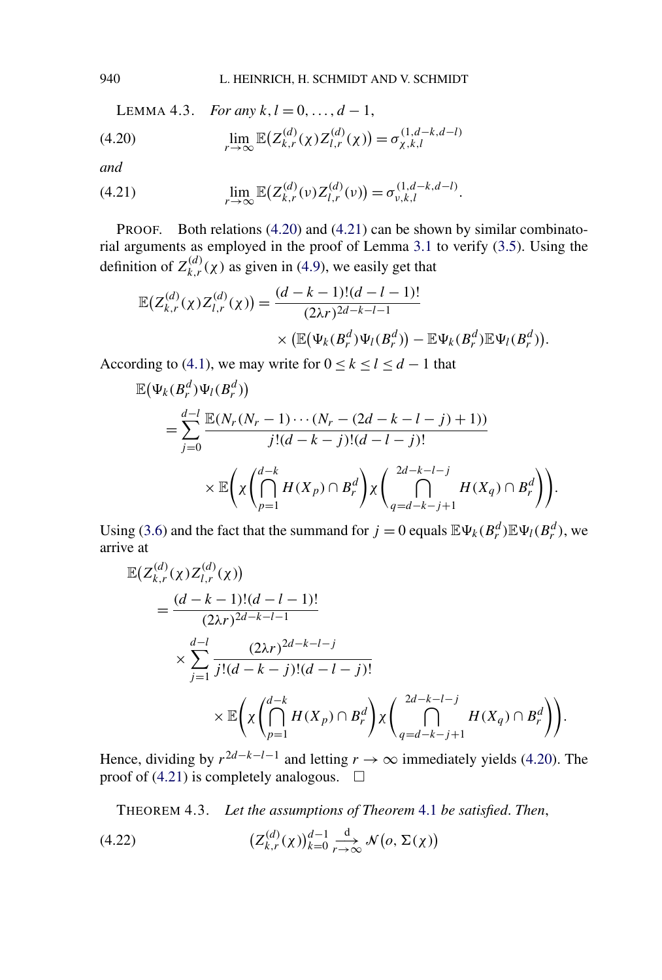<span id="page-21-0"></span>940 L. HEINRICH, H. SCHMIDT AND V. SCHMIDT

LEMMA 4.3. *For any*  $k, l = 0, ..., d - 1$ ,

(4.20) 
$$
\lim_{r \to \infty} \mathbb{E}(Z_{k,r}^{(d)}(\chi) Z_{l,r}^{(d)}(\chi)) = \sigma_{\chi,k,l}^{(1,d-k,d-l)}
$$

*and*

(4.21) 
$$
\lim_{r \to \infty} \mathbb{E}\big(Z_{k,r}^{(d)}(\nu) Z_{l,r}^{(d)}(\nu)\big) = \sigma_{\nu,k,l}^{(1,d-k,d-l)}.
$$

PROOF. Both relations (4.20) and (4.21) can be shown by similar combinatorial arguments as employed in the proof of Lemma [3.1](#page-7-0) to verify [\(3.5\)](#page-7-0). Using the definition of  $Z_{k,r}^{(d)}(\chi)$  as given in [\(4.9\)](#page-14-0), we easily get that

$$
\mathbb{E}\big(Z_{k,r}^{(d)}(\chi)Z_{l,r}^{(d)}(\chi)\big) = \frac{(d-k-1)!(d-l-1)!}{(2\lambda r)^{2d-k-l-1}} \times \big(\mathbb{E}\big(\Psi_k(B_r^d)\Psi_l(B_r^d)\big) - \mathbb{E}\Psi_k(B_r^d)\mathbb{E}\Psi_l(B_r^d)\big).
$$

According to [\(4.1\)](#page-12-0), we may write for  $0 \le k \le l \le d - 1$  that

$$
\mathbb{E}(\Psi_k(B_r^d)\Psi_l(B_r^d))
$$
\n
$$
= \sum_{j=0}^{d-l} \frac{\mathbb{E}(N_r(N_r - 1)\cdots(N_r - (2d - k - l - j) + 1))}{j!(d - k - j)!(d - l - j)!} \times \mathbb{E}\left(\chi\left(\bigcap_{p=1}^{d-k} H(X_p) \cap B_r^d\right)\chi\left(\bigcap_{q=d-k-j+1}^{2d-k-l-j} H(X_q) \cap B_r^d\right)\right).
$$

Using [\(3.6\)](#page-7-0) and the fact that the summand for  $j = 0$  equals  $\mathbb{E} \Psi_k(B_r^d) \mathbb{E} \Psi_l(B_r^d)$ , we arrive at

$$
\mathbb{E}\left(Z_{k,r}^{(d)}(\chi)Z_{l,r}^{(d)}(\chi)\right)
$$
\n
$$
=\frac{(d-k-1)!(d-l-1)!}{(2\lambda r)^{2d-k-l-1}}
$$
\n
$$
\times \sum_{j=1}^{d-l} \frac{(2\lambda r)^{2d-k-l-j}}{j!(d-k-j)!(d-l-j)!}
$$
\n
$$
\times \mathbb{E}\left(\chi \left(\bigcap_{p=1}^{d-k} H(X_p) \cap B_r^d\right) \chi \left(\bigcap_{q=d-k-j+1}^{2d-k-l-j} H(X_q) \cap B_r^d\right)\right).
$$

Hence, dividing by  $r^{2d-k-l-1}$  and letting  $r \to \infty$  immediately yields (4.20). The proof of (4.21) is completely analogous.  $\Box$ 

THEOREM 4.3. *Let the assumptions of Theorem* [4.1](#page-14-0) *be satisfied*. *Then*,

(4.22) 
$$
\left(Z_{k,r}^{(d)}(\chi)\right)_{k=0}^{d-1} \underset{r \to \infty}{\overset{d}{\to}} \mathcal{N}\left(o, \Sigma(\chi)\right)
$$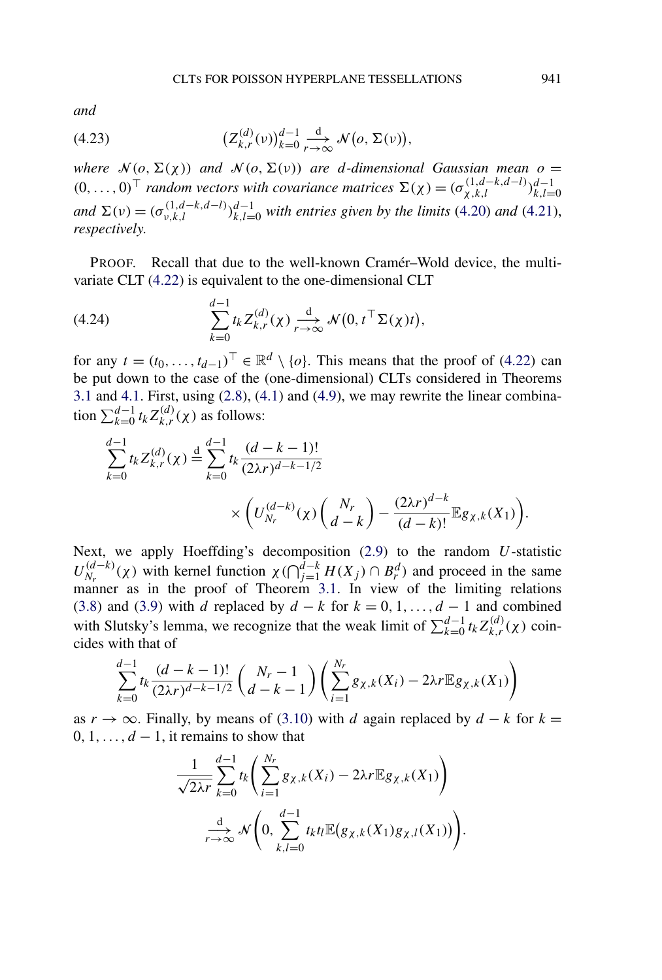<span id="page-22-0"></span>*and*

(4.23) 
$$
\left(Z_{k,r}^{(d)}(\nu)\right)_{k=0}^{d-1} \xrightarrow[r \to \infty]{d} \mathcal{N}(o, \Sigma(\nu)),
$$

*where*  $\mathcal{N}(o, \Sigma(\chi))$  *and*  $\mathcal{N}(o, \Sigma(\nu))$  *are d*-dimensional Gaussian mean  $o =$  $(0, \ldots, 0)^\top$  *random vectors with covariance matrices*  $\Sigma(\chi) = (\sigma_{\chi,k,l}^{(1,d-k,d-l)})_{k,l=1}^{d-1}$ *k,l*=0 *and*  $\Sigma(v) = (\sigma_{v,k,l}^{(1,d-k,d-l)})_{k,l=0}^{d-1}$  *with entries given by the limits* [\(4.20\)](#page-21-0) *and* [\(4.21\)](#page-21-0), *respectively*.

PROOF. Recall that due to the well-known Cramér–Wold device, the multivariate CLT [\(4.22\)](#page-21-0) is equivalent to the one-dimensional CLT

(4.24) 
$$
\sum_{k=0}^{d-1} t_k Z_{k,r}^{(d)}(\chi) \xrightarrow[r \to \infty]{d} \mathcal{N}(0, t^{\top} \Sigma(\chi) t),
$$

for any  $t = (t_0, \ldots, t_{d-1})^\top \in \mathbb{R}^d \setminus \{o\}$ . This means that the proof of [\(4.22\)](#page-21-0) can be put down to the case of the (one-dimensional) CLTs considered in Theorems [3.1](#page-8-0) and [4.1.](#page-14-0) First, using [\(2.8\)](#page-5-0), [\(4.1\)](#page-12-0) and [\(4.9\)](#page-14-0), we may rewrite the linear combination  $\sum_{k=0}^{d-1} t_k Z_{k,r}^{(d)}(\chi)$  as follows:

$$
\sum_{k=0}^{d-1} t_k Z_{k,r}^{(d)}(\chi) \stackrel{\text{d}}{=} \sum_{k=0}^{d-1} t_k \frac{(d-k-1)!}{(2\lambda r)^{d-k-1/2}} \times \left( U_{N_r}^{(d-k)}(\chi) \binom{N_r}{d-k} - \frac{(2\lambda r)^{d-k}}{(d-k)!} \mathbb{E} g_{\chi,k}(X_1) \right).
$$

Next, we apply Hoeffding's decomposition [\(2.9\)](#page-5-0) to the random *U*-statistic  $U_{N_r}^{(d-k)}(\chi)$  with kernel function  $\chi(\bigcap_{j=1}^{\overline{d-k}} H(X_j) \cap B_r^d)$  and proceed in the same manner as in the proof of Theorem [3.1.](#page-8-0) In view of the limiting relations [\(3.8\)](#page-10-0) and [\(3.9\)](#page-10-0) with *d* replaced by  $d - k$  for  $k = 0, 1, \ldots, d - 1$  and combined with Slutsky's lemma, we recognize that the weak limit of  $\sum_{k=0}^{d-1} t_k Z_{k,r}^{(d)}(\chi)$  coincides with that of

$$
\sum_{k=0}^{d-1} t_k \frac{(d-k-1)!}{(2\lambda r)^{d-k-1/2}} \binom{N_r-1}{d-k-1} \left( \sum_{i=1}^{N_r} g_{\chi,k}(X_i) - 2\lambda r \mathbb{E} g_{\chi,k}(X_1) \right)
$$

as  $r \rightarrow \infty$ . Finally, by means of [\(3.10\)](#page-10-0) with *d* again replaced by  $d - k$  for  $k =$  $0, 1, \ldots, d-1$ , it remains to show that

$$
\frac{1}{\sqrt{2\lambda r}}\sum_{k=0}^{d-1}t_k\left(\sum_{i=1}^{N_r}g_{\chi,k}(X_i)-2\lambda r\mathbb{E}g_{\chi,k}(X_1)\right)
$$

$$
\xrightarrow[r\to\infty]{d}\mathcal{N}\left(0,\sum_{k,l=0}^{d-1}t_kt_l\mathbb{E}(g_{\chi,k}(X_1)g_{\chi,l}(X_1))\right).
$$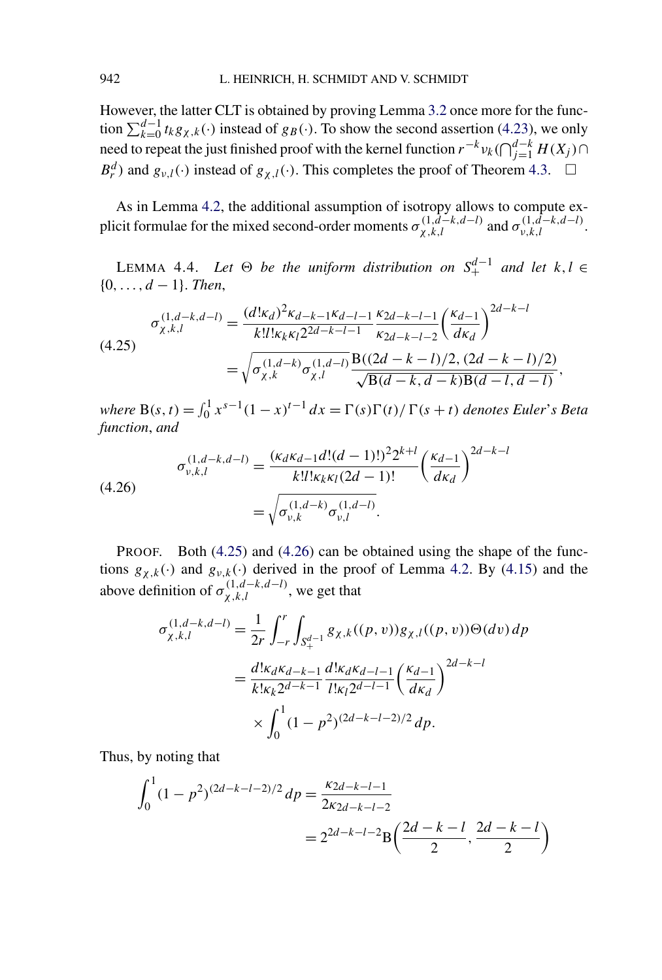<span id="page-23-0"></span>However, the latter CLT is obtained by proving Lemma [3.2](#page-10-0) once more for the function  $\sum_{k=0}^{d-1} t_k g_{\chi,k}(\cdot)$  instead of  $g_B(\cdot)$ . To show the second assertion [\(4.23\)](#page-22-0), we only need to repeat the just finished proof with the kernel function  $r^{-k}v_k(\bigcap_{j=1}^{d-k}H(X_j)\bigcap$ *B*<sup>*d*</sup></sup>) and *g<sub>ν,l</sub>*(·) instead of  $g_{\chi,l}$ (·). This completes the proof of Theorem [4.3.](#page-21-0)  $\Box$ 

As in Lemma [4.2,](#page-14-0) the additional assumption of isotropy allows to compute explicit formulae for the mixed second-order moments  $\sigma_{\chi,k,l}^{(1,\tilde{d}-k,d-l)}$  and  $\sigma_{\nu,k,l}^{(1,\tilde{d}-k,d-l)}$ .

LEMMA 4.4. Let  $\Theta$  be the uniform distribution on  $S^{d-1}_+$  and let  $k, l \in$ {0*,...,d* − 1}. *Then*,

$$
\sigma_{\chi,k,l}^{(1,d-k,d-l)} = \frac{(d! \kappa_d)^2 \kappa_{d-k-1} \kappa_{d-l-1}}{k! l! \kappa_k \kappa_l 2^{2d-k-l-1}} \frac{\kappa_{2d-k-l-1}}{\kappa_{2d-k-l-2}} \left(\frac{\kappa_{d-1}}{d \kappa_d}\right)^{2d-k-l}
$$
\n
$$
= \sqrt{\sigma_{\chi,k}^{(1,d-k)} \sigma_{\chi,l}^{(1,d-l)}} \frac{\mathbf{B}((2d-k-l)/2, (2d-k-l)/2)}{\sqrt{\mathbf{B}(d-k, d-k)\mathbf{B}(d-l, d-l)}},
$$

*where*  $B(s, t) = \int_0^1 x^{s-1}(1-x)^{t-1} dx = \Gamma(s)\Gamma(t)/\Gamma(s+t)$  *denotes Euler*'s *Beta function*, *and*

(4.26)  

$$
\sigma_{v,k,l}^{(1,d-k,d-l)} = \frac{(\kappa_d \kappa_{d-1} d!(d-1)!)^2 2^{k+l}}{k!! \kappa_k \kappa_l (2d-1)!} \left(\frac{\kappa_{d-1}}{d\kappa_d}\right)^{2d-k-l}
$$

$$
= \sqrt{\sigma_{v,k}^{(1,d-k)} \sigma_{v,l}^{(1,d-l)}}.
$$

PROOF. Both (4.25) and (4.26) can be obtained using the shape of the functions  $g_{\chi,k}(\cdot)$  and  $g_{\nu,k}(\cdot)$  derived in the proof of Lemma [4.2.](#page-14-0) By [\(4.15\)](#page-15-0) and the above definition of  $\sigma_{\chi,k,l}^{(1,d-k,d-l)}$ , we get that

$$
\sigma_{\chi,k,l}^{(1,d-k,d-l)} = \frac{1}{2r} \int_{-r}^{r} \int_{S_{+}^{d-1}} g_{\chi,k}((p,v)) g_{\chi,l}((p,v)) \Theta(dv) \, dp
$$

$$
= \frac{d! \kappa_d \kappa_{d-k-1}}{k! \kappa_k 2^{d-k-1}} \frac{d! \kappa_d \kappa_{d-l-1}}{l! \kappa_l 2^{d-l-1}} \left(\frac{\kappa_{d-1}}{d \kappa_d}\right)^{2d-k-l}
$$

$$
\times \int_0^1 (1-p^2)^{(2d-k-l-2)/2} \, dp.
$$

Thus, by noting that

$$
\int_0^1 (1 - p^2)^{(2d - k - l - 2)/2} dp = \frac{\kappa_{2d - k - l - 1}}{2\kappa_{2d - k - l - 2}} = 2^{2d - k - l - 2} \mathcal{B}\left(\frac{2d - k - l}{2}, \frac{2d - k - l}{2}\right)
$$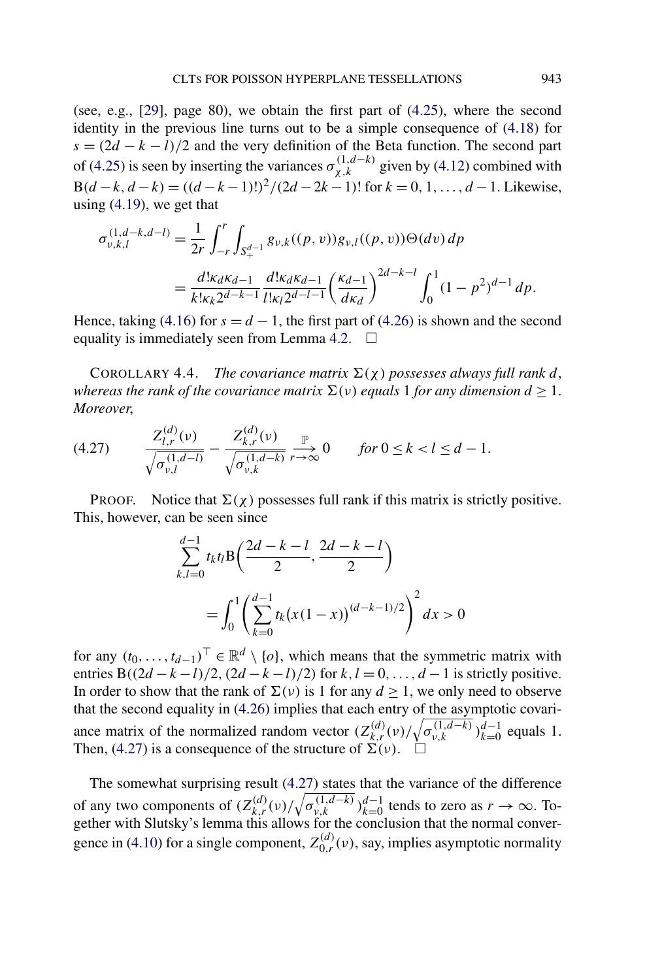<span id="page-24-0"></span>(see, e.g., [\[29\]](#page-31-0), page 80), we obtain the first part of [\(4.25\)](#page-23-0), where the second identity in the previous line turns out to be a simple consequence of [\(4.18\)](#page-16-0) for  $s = (2d - k - l)/2$  and the very definition of the Beta function. The second part of [\(4.25\)](#page-23-0) is seen by inserting the variances  $\sigma_{\chi,k}^{(1,d-k)}$  given by [\(4.12\)](#page-14-0) combined with B $(d-k, d-k) = ((d-k-1)!)^2/(2d-2k-1)!$  for  $k = 0, 1, ..., d-1$ . Likewise, using  $(4.19)$ , we get that

$$
\sigma_{\nu,k,l}^{(1,d-k,d-l)} = \frac{1}{2r} \int_{-r}^{r} \int_{S_{+}^{d-1}} g_{\nu,k}((p,v)) g_{\nu,l}((p,v)) \Theta(dv) \, dp
$$
\n
$$
= \frac{d! \kappa_d \kappa_{d-1}}{k! \kappa_k 2^{d-k-1}} \frac{d! \kappa_d \kappa_{d-1}}{l! \kappa_l 2^{d-l-1}} \left(\frac{\kappa_{d-1}}{d \kappa_d}\right)^{2d-k-l} \int_0^1 (1 - p^2)^{d-1} \, dp.
$$

Hence, taking [\(4.16\)](#page-16-0) for  $s = d - 1$ , the first part of [\(4.26\)](#page-23-0) is shown and the second equality is immediately seen from Lemma [4.2.](#page-14-0)  $\square$ 

COROLLARY 4.4. *The covariance matrix*  $\Sigma(\chi)$  *possesses always full rank d, whereas the rank of the covariance matrix*  $\Sigma(v)$  *equals* 1 *for any dimension*  $d \geq 1$ . *Moreover*,

$$
(4.27) \qquad \frac{Z_{l,r}^{(d)}(\nu)}{\sqrt{\sigma_{\nu,l}^{(1,d-l)}}} - \frac{Z_{k,r}^{(d)}(\nu)}{\sqrt{\sigma_{\nu,k}^{(1,d-k)}}} \underset{r \to \infty}{\overset{\mathbb{P}}{\longrightarrow}} 0 \qquad \text{for } 0 \le k < l \le d-1.
$$

PROOF. Notice that  $\Sigma(\chi)$  possesses full rank if this matrix is strictly positive. This, however, can be seen since

$$
\sum_{k,l=0}^{d-1} t_k t_l B\left(\frac{2d-k-l}{2}, \frac{2d-k-l}{2}\right)
$$
  
= 
$$
\int_0^1 \left(\sum_{k=0}^{d-1} t_k (x(1-x))^{(d-k-1)/2}\right)^2 dx > 0
$$

for any  $(t_0, \ldots, t_{d-1})^{\top} \in \mathbb{R}^d \setminus \{o\}$ , which means that the symmetric matrix with entries B( $\left(\frac{2d - k - l}{2}, \frac{(2d - k - l)}{2}\right)$  for  $k, l = 0, \ldots, d - 1$  is strictly positive. In order to show that the rank of  $\Sigma(v)$  is 1 for any  $d \ge 1$ , we only need to observe that the second equality in [\(4.26\)](#page-23-0) implies that each entry of the asymptotic covariance matrix of the normalized random vector  $(Z_{k,r}^{(d)}(v) / \sqrt{\sigma_{v,k}^{(1,d-k)}})_{k=0}^{d-1}$  equals 1. Then, (4.27) is a consequence of the structure of  $\Sigma(\nu)$ .  $\square$ 

The somewhat surprising result (4.27) states that the variance of the difference of any two components of  $(Z_{k,r}^{(d)}(v)/\sqrt{\sigma_{v,k}^{(1,d-k)}})_{k=0}^{d-1}$  tends to zero as  $r \to \infty$ . Together with Slutsky's lemma this allows for the conclusion that the normal conver-gence in [\(4.10\)](#page-14-0) for a single component,  $Z_{0,r}^{(d)}(v)$ , say, implies asymptotic normality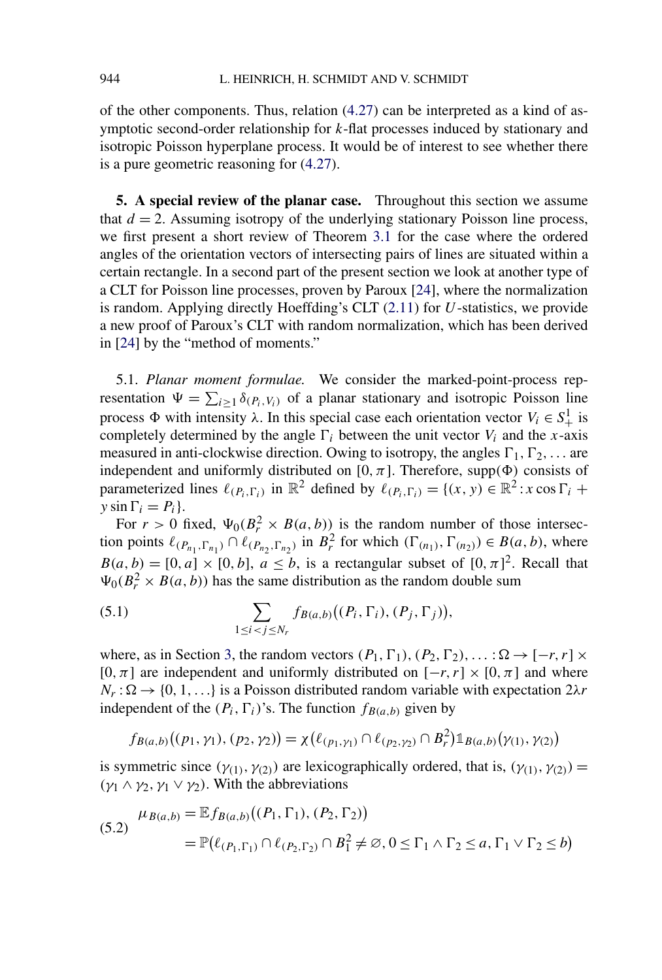<span id="page-25-0"></span>of the other components. Thus, relation [\(4.27\)](#page-24-0) can be interpreted as a kind of asymptotic second-order relationship for *k*-flat processes induced by stationary and isotropic Poisson hyperplane process. It would be of interest to see whether there is a pure geometric reasoning for [\(4.27\)](#page-24-0).

**5. A special review of the planar case.** Throughout this section we assume that  $d = 2$ . Assuming isotropy of the underlying stationary Poisson line process, we first present a short review of Theorem [3.1](#page-8-0) for the case where the ordered angles of the orientation vectors of intersecting pairs of lines are situated within a certain rectangle. In a second part of the present section we look at another type of a CLT for Poisson line processes, proven by Paroux [\[24\]](#page-30-0), where the normalization is random. Applying directly Hoeffding's CLT [\(2.11\)](#page-6-0) for *U*-statistics, we provide a new proof of Paroux's CLT with random normalization, which has been derived in [\[24\]](#page-30-0) by the "method of moments."

5.1. *Planar moment formulae.* We consider the marked-point-process representation  $\Psi = \sum_{i \geq 1} \delta_{(P_i, V_i)}$  of a planar stationary and isotropic Poisson line process  $\Phi$  with intensity  $\lambda$ . In this special case each orientation vector  $V_i \in S^1_+$  is completely determined by the angle  $\Gamma_i$  between the unit vector  $V_i$  and the *x*-axis measured in anti-clockwise direction. Owing to isotropy, the angles  $\Gamma_1, \Gamma_2, \ldots$  are independent and uniformly distributed on  $[0, \pi]$ . Therefore, supp $(\Phi)$  consists of parameterized lines  $\ell_{(P_i, \Gamma_i)}$  in  $\mathbb{R}^2$  defined by  $\ell_{(P_i, \Gamma_i)} = \{(x, y) \in \mathbb{R}^2 : x \cos \Gamma_i +$ *y* sin  $\Gamma_i = P_i$ .

For  $r > 0$  fixed,  $\Psi_0(B_r^2 \times B(a, b))$  is the random number of those intersection points  $\ell_{(P_{n_1}, \Gamma_{n_1})} \cap \ell_{(P_{n_2}, \Gamma_{n_2})}$  in  $B_r^2$  for which  $(\Gamma_{(n_1)}, \Gamma_{(n_2)}) \in B(a, b)$ , where  $B(a, b) = [0, a] \times [0, b], a \leq b$ , is a rectangular subset of  $[0, \pi]^2$ . Recall that  $\Psi_0(B_r^2 \times B(a, b))$  has the same distribution as the random double sum

(5.1) 
$$
\sum_{1 \leq i < j \leq N_r} f_{B(a,b)}\big((P_i, \Gamma_i), (P_j, \Gamma_j)\big),
$$

where, as in Section [3,](#page-6-0) the random vectors  $(P_1, \Gamma_1), (P_2, \Gamma_2), \ldots : \Omega \to [-r, r] \times$ [0*, π*] are independent and uniformly distributed on  $[-r, r] \times [0, \pi]$  and where  $N_r : \Omega \to \{0, 1, \ldots\}$  is a Poisson distributed random variable with expectation  $2\lambda r$ independent of the  $(P_i, \Gamma_i)$ 's. The function  $f_{B(a,b)}$  given by

$$
f_{B(a,b)}((p_1, \gamma_1), (p_2, \gamma_2)) = \chi(\ell_{(p_1, \gamma_1)} \cap \ell_{(p_2, \gamma_2)} \cap B_r^2) \mathbb{1}_{B(a,b)}(\gamma_{(1)}, \gamma_{(2)})
$$

is symmetric since  $(\gamma_{(1)}, \gamma_{(2)})$  are lexicographically ordered, that is,  $(\gamma_{(1)}, \gamma_{(2)})$  =  $(γ<sub>1</sub> ∧ γ<sub>2</sub>, γ<sub>1</sub> ∨ γ<sub>2</sub>)$ . With the abbreviations

$$
(5.2) \quad \mu_{B(a,b)} = \mathbb{E} f_{B(a,b)}((P_1, \Gamma_1), (P_2, \Gamma_2)) \\
= \mathbb{P}(\ell_{(P_1, \Gamma_1)} \cap \ell_{(P_2, \Gamma_2)} \cap B_1^2 \neq \emptyset, 0 \le \Gamma_1 \wedge \Gamma_2 \le a, \Gamma_1 \vee \Gamma_2 \le b)
$$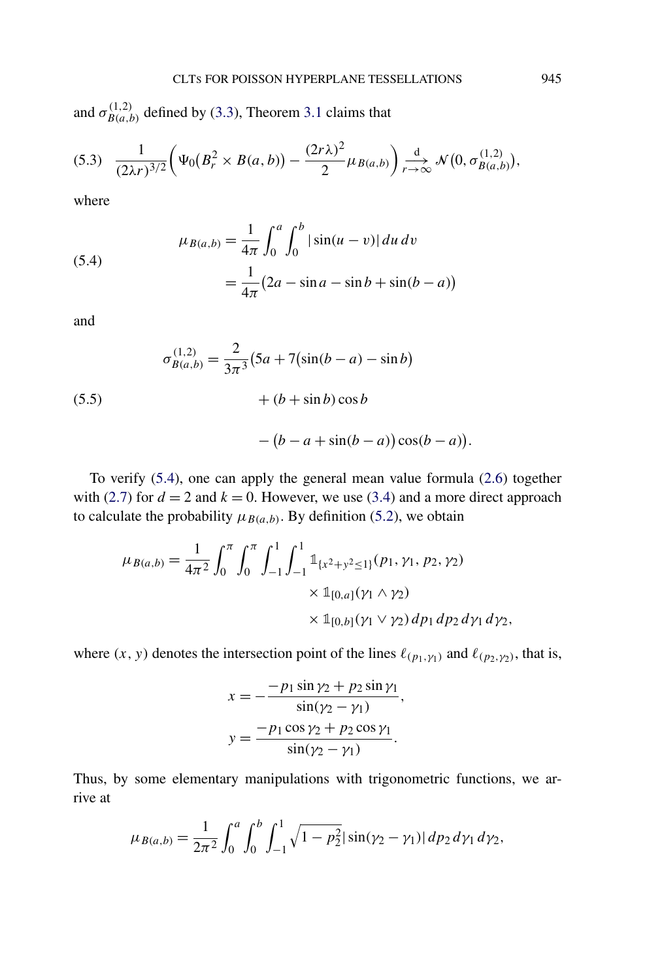<span id="page-26-0"></span>and  $\sigma_{B(a,b)}^{(1,2)}$  defined by [\(3.3\)](#page-7-0), Theorem [3.1](#page-8-0) claims that

$$
(5.3) \quad \frac{1}{(2\lambda r)^{3/2}} \bigg( \Psi_0(B_r^2 \times B(a,b)) - \frac{(2r\lambda)^2}{2} \mu_{B(a,b)} \bigg) \xrightarrow[r \to \infty]{d} \mathcal{N}\big(0, \sigma_{B(a,b)}^{(1,2)}\big),
$$

where

(5.4)  

$$
\mu_{B(a,b)} = \frac{1}{4\pi} \int_0^a \int_0^b |\sin(u-v)| du dv
$$

$$
= \frac{1}{4\pi} (2a - \sin a - \sin b + \sin(b - a))
$$

and

(5.5)  

$$
\sigma_{B(a,b)}^{(1,2)} = \frac{2}{3\pi^3} (5a + 7(\sin(b - a) - \sin b) + (b + \sin b)\cos b)
$$

$$
-(b-a+\sin(b-a))\cos(b-a)).
$$

To verify (5.4), one can apply the general mean value formula [\(2.6\)](#page-4-0) together with [\(2.7\)](#page-5-0) for  $d = 2$  and  $k = 0$ . However, we use [\(3.4\)](#page-7-0) and a more direct approach to calculate the probability  $\mu_{B(a,b)}$ . By definition [\(5.2\)](#page-25-0), we obtain

$$
\mu_{B(a,b)} = \frac{1}{4\pi^2} \int_0^{\pi} \int_0^{\pi} \int_{-1}^1 \int_{-1}^1 \mathbb{1}_{\{x^2 + y^2 \le 1\}}(p_1, \gamma_1, p_2, \gamma_2)
$$
  
 
$$
\times \mathbb{1}_{[0,a]}(\gamma_1 \wedge \gamma_2)
$$
  
 
$$
\times \mathbb{1}_{[0,b]}(\gamma_1 \vee \gamma_2) \, dp_1 \, dp_2 \, d\gamma_1 \, d\gamma_2,
$$

where  $(x, y)$  denotes the intersection point of the lines  $\ell_{(p_1, y_1)}$  and  $\ell_{(p_2, y_2)}$ , that is,

$$
x = -\frac{-p_1 \sin \gamma_2 + p_2 \sin \gamma_1}{\sin(\gamma_2 - \gamma_1)},
$$
  

$$
y = \frac{-p_1 \cos \gamma_2 + p_2 \cos \gamma_1}{\sin(\gamma_2 - \gamma_1)}.
$$

Thus, by some elementary manipulations with trigonometric functions, we arrive at

$$
\mu_{B(a,b)} = \frac{1}{2\pi^2} \int_0^a \int_0^b \int_{-1}^1 \sqrt{1 - p_2^2} |\sin(\gamma_2 - \gamma_1)| \, dp_2 \, d\gamma_1 \, d\gamma_2,
$$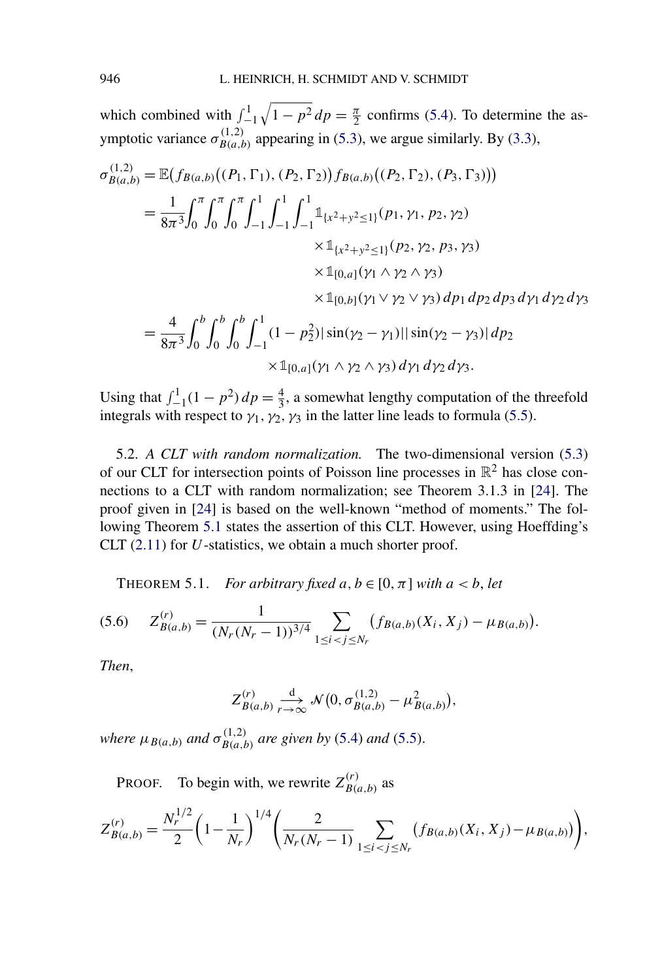<span id="page-27-0"></span>which combined with  $\int_{-1}^{1}$  $\sqrt{1 - p^2} dp = \frac{\pi}{2}$  confirms [\(5.4\)](#page-26-0). To determine the asymptotic variance  $\sigma_{B(a,b)}^{(1,2)}$  appearing in [\(5.3\)](#page-26-0), we argue similarly. By [\(3.3\)](#page-7-0),

$$
\sigma_{B(a,b)}^{(1,2)} = \mathbb{E}(f_{B(a,b)}((P_1, \Gamma_1), (P_2, \Gamma_2))f_{B(a,b)}((P_2, \Gamma_2), (P_3, \Gamma_3)))
$$
  
\n
$$
= \frac{1}{8\pi^3} \int_0^{\pi} \int_0^{\pi} \int_0^1 \int_{-1}^1 \int_{-1}^1 \int_{-1}^1 \mathbb{1}_{\{x^2 + y^2 \le 1\}}(p_1, \gamma_1, p_2, \gamma_2)
$$
  
\n
$$
\times \mathbb{1}_{\{x^2 + y^2 \le 1\}}(p_2, \gamma_2, p_3, \gamma_3)
$$
  
\n
$$
\times \mathbb{1}_{[0,a]}(\gamma_1 \wedge \gamma_2 \wedge \gamma_3)
$$
  
\n
$$
\times \mathbb{1}_{[0,b]}(\gamma_1 \vee \gamma_2 \vee \gamma_3) dp_1 dp_2 dp_3 d\gamma_1 d\gamma_2 d\gamma_3
$$

$$
= \frac{4}{8\pi^3} \int_0^b \int_0^b \int_{-1}^1 (1 - p_2^2) |\sin(\gamma_2 - \gamma_1)| |\sin(\gamma_2 - \gamma_3)| \, dp_2
$$
  
 
$$
\times \mathbb{1}_{[0,a]}(\gamma_1 \wedge \gamma_2 \wedge \gamma_3) \, d\gamma_1 \, d\gamma_2 \, d\gamma_3.
$$

Using that  $\int_{-1}^{1} (1 - p^2) dp = \frac{4}{3}$ , a somewhat lengthy computation of the threefold integrals with respect to  $\gamma_1$ ,  $\gamma_2$ ,  $\gamma_3$  in the latter line leads to formula [\(5.5\)](#page-26-0).

5.2. *A CLT with random normalization.* The two-dimensional version [\(5.3\)](#page-26-0) of our CLT for intersection points of Poisson line processes in  $\mathbb{R}^2$  has close connections to a CLT with random normalization; see Theorem 3.1.3 in [\[24\]](#page-30-0). The proof given in [\[24\]](#page-30-0) is based on the well-known "method of moments." The following Theorem 5.1 states the assertion of this CLT. However, using Hoeffding's CLT [\(2.11\)](#page-6-0) for *U*-statistics, we obtain a much shorter proof.

THEOREM 5.1. *For arbitrary fixed*  $a, b \in [0, \pi]$  *with*  $a < b$ *, let* 

$$
(5.6) \t Z_{B(a,b)}^{(r)} = \frac{1}{(N_r(N_r-1))^{3/4}} \sum_{1 \leq i < j \leq N_r} \big(f_{B(a,b)}(X_i, X_j) - \mu_{B(a,b)}\big).
$$

*Then*,

$$
Z_{B(a,b)}^{(r)} \underset{r \to \infty}{\xrightarrow{d}} \mathcal{N}(0, \sigma_{B(a,b)}^{(1,2)} - \mu_{B(a,b)}^2),
$$

*where*  $\mu_{B(a,b)}$  *and*  $\sigma_{B(a,b)}^{(1,2)}$  *are given by* [\(5.4\)](#page-26-0) *and* [\(5.5\)](#page-26-0).

PROOF. To begin with, we rewrite  $Z_{B(a,b)}^{(r)}$  as

$$
Z_{B(a,b)}^{(r)} = \frac{N_r^{1/2}}{2} \left(1 - \frac{1}{N_r}\right)^{1/4} \left(\frac{2}{N_r(N_r-1)} \sum_{1 \le i < j \le N_r} (f_{B(a,b)}(X_i, X_j) - \mu_{B(a,b)})\right),
$$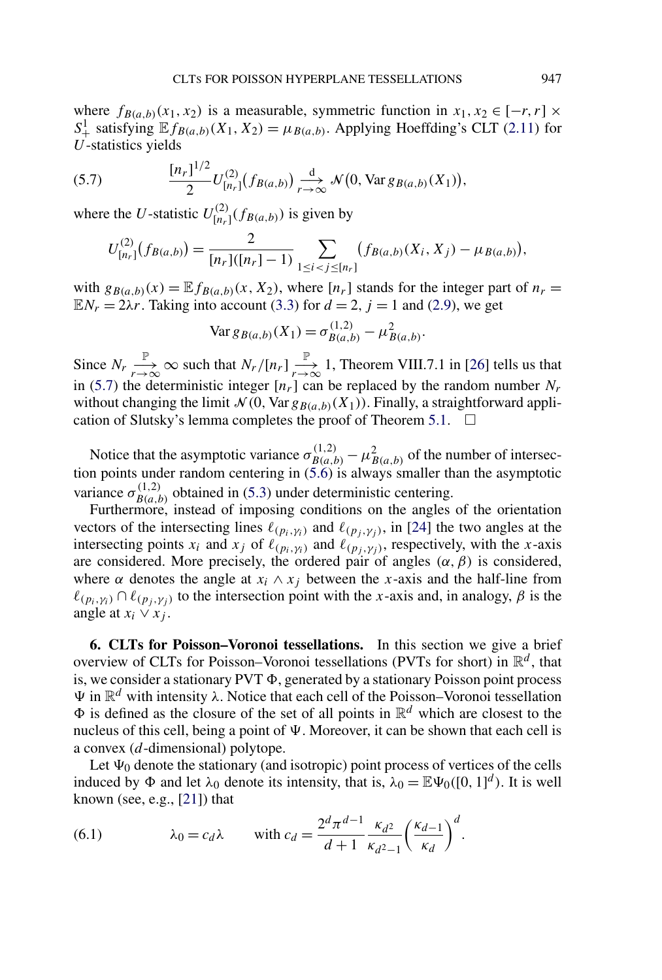<span id="page-28-0"></span>where  $f_{B(a,b)}(x_1, x_2)$  is a measurable, symmetric function in  $x_1, x_2 \in [-r, r] \times$  $S^1_+$  satisfying  $\mathbb{E} f_{B(a,b)}(X_1, X_2) = \mu_{B(a,b)}$ . Applying Hoeffding's CLT [\(2.11\)](#page-6-0) for *U*-statistics yields

(5.7) 
$$
\frac{[n_r]^{1/2}}{2}U_{[n_r]}^{(2)}(f_{B(a,b)}) \xrightarrow[r \to \infty]{d} \mathcal{N}(0, \text{Var } g_{B(a,b)}(X_1)),
$$

where the *U*-statistic  $U_{[n_r]}^{(2)}(f_{B(a,b)})$  is given by

$$
U_{[n_r]}^{(2)}(f_{B(a,b)}) = \frac{2}{[n_r]([n_r]-1)} \sum_{1 \leq i < j \leq [n_r]} (f_{B(a,b)}(X_i, X_j) - \mu_{B(a,b)}),
$$

with  $g_{B(a,b)}(x) = \mathbb{E} f_{B(a,b)}(x, X_2)$ , where  $[n_r]$  stands for the integer part of  $n_r =$  $\mathbb{E}N_r = 2\lambda r$ . Taking into account [\(3.3\)](#page-7-0) for  $d = 2$ ,  $j = 1$  and [\(2.9\)](#page-5-0), we get

$$
\text{Var } g_{B(a,b)}(X_1) = \sigma_{B(a,b)}^{(1,2)} - \mu_{B(a,b)}^2.
$$

Since  $N_r \xrightarrow[r \to \infty]{} \infty$  such that  $N_r/[n_r] \xrightarrow[r \to \infty]{} 1$ , Theorem VIII.7.1 in [\[26\]](#page-30-0) tells us that in (5.7) the deterministic integer  $[n_r]$  can be replaced by the random number  $N_r$ without changing the limit  $\mathcal{N}(0, \text{Var } g_{B(a, b)}(X_1))$ . Finally, a straightforward appli-cation of Slutsky's lemma completes the proof of Theorem [5.1.](#page-27-0)  $\Box$ 

Notice that the asymptotic variance  $\sigma_{B(a,b)}^{(1,2)} - \mu_{B(a,b)}^2$  of the number of intersection points under random centering in [\(5.6\)](#page-27-0) is always smaller than the asymptotic variance  $\sigma_{B(a,b)}^{(1,2)}$  obtained in [\(5.3\)](#page-26-0) under deterministic centering.

Furthermore, instead of imposing conditions on the angles of the orientation vectors of the intersecting lines  $\ell_{(p_i,y_i)}$  and  $\ell_{(p_i,y_i)}$ , in [\[24\]](#page-30-0) the two angles at the intersecting points  $x_i$  and  $x_j$  of  $\ell_{(p_i, \gamma_i)}$  and  $\ell_{(p_j, \gamma_j)}$ , respectively, with the *x*-axis are considered. More precisely, the ordered pair of angles  $(\alpha, \beta)$  is considered, where  $\alpha$  denotes the angle at  $x_i \wedge x_j$  between the *x*-axis and the half-line from  $\ell_{(p_i, \gamma_i)} \cap \ell_{(p_i, \gamma_i)}$  to the intersection point with the *x*-axis and, in analogy,  $\beta$  is the angle at  $x_i \vee x_j$ .

**6. CLTs for Poisson–Voronoi tessellations.** In this section we give a brief overview of CLTs for Poisson–Voronoi tessellations (PVTs for short) in  $\mathbb{R}^d$ , that is, we consider a stationary  $PVT \Phi$ , generated by a stationary Poisson point process  $\Psi$  in  $\mathbb{R}^d$  with intensity *λ*. Notice that each cell of the Poisson–Voronoi tessellation  $\Phi$  is defined as the closure of the set of all points in  $\mathbb{R}^d$  which are closest to the nucleus of this cell, being a point of  $\Psi$ . Moreover, it can be shown that each cell is a convex (*d*-dimensional) polytope.

Let  $\Psi_0$  denote the stationary (and isotropic) point process of vertices of the cells induced by  $\Phi$  and let  $\lambda_0$  denote its intensity, that is,  $\lambda_0 = \mathbb{E}\Psi_0([0, 1]^d)$ . It is well known (see, e.g.,  $[21]$ ) that

(6.1) 
$$
\lambda_0 = c_d \lambda \quad \text{with } c_d = \frac{2^d \pi^{d-1}}{d+1} \frac{\kappa_{d^2}}{\kappa_{d^2-1}} \left(\frac{\kappa_{d-1}}{\kappa_d}\right)^d.
$$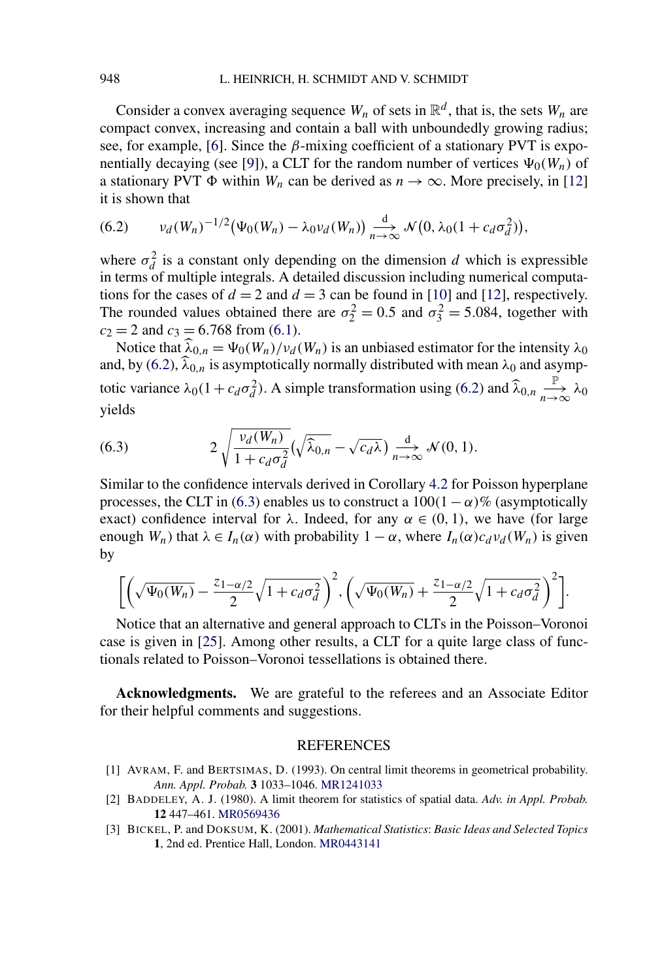<span id="page-29-0"></span>Consider a convex averaging sequence  $W_n$  of sets in  $\mathbb{R}^d$ , that is, the sets  $W_n$  are compact convex, increasing and contain a ball with unboundedly growing radius; see, for example, [\[6\]](#page-30-0). Since the *β*-mixing coefficient of a stationary PVT is expo-nentially decaying (see [\[9\]](#page-30-0)), a CLT for the random number of vertices  $\Psi_0(W_n)$  of a stationary PVT  $\Phi$  within *W<sub>n</sub>* can be derived as  $n \to \infty$ . More precisely, in [\[12\]](#page-30-0) it is shown that

(6.2) 
$$
\nu_d(W_n)^{-1/2} \big( \Psi_0(W_n) - \lambda_0 \nu_d(W_n) \big) \underset{n \to \infty}{\overset{d}{\longrightarrow}} \mathcal{N} \big( 0, \lambda_0 (1 + c_d \sigma_d^2) \big),
$$

where  $\sigma_d^2$  is a constant only depending on the dimension *d* which is expressible in terms of multiple integrals. A detailed discussion including numerical computations for the cases of  $d = 2$  and  $d = 3$  can be found in [\[10\]](#page-30-0) and [\[12\]](#page-30-0), respectively. The rounded values obtained there are  $\sigma_2^2 = 0.5$  and  $\sigma_3^2 = 5.084$ , together with  $c_2 = 2$  and  $c_3 = 6.768$  from [\(6.1\)](#page-28-0).

Notice that  $\hat{\lambda}_{0,n} = \Psi_0(W_n)/\nu_d(W_n)$  is an unbiased estimator for the intensity  $\lambda_0$ and, by (6.2),  $\widehat{\lambda}_{0,n}$  is asymptotically normally distributed with mean  $\lambda_0$  and asymptotic variance  $\lambda_0(1 + c_d\sigma_d^2)$ . A simple transformation using (6.2) and  $\hat{\lambda}_{0,n}$   $\underset{n\to\infty}{\mathbb{P}}$  $\lim_{n\to\infty}^{\mathbb{I}}\lambda_0$ yields

(6.3) 
$$
2\sqrt{\frac{v_d(W_n)}{1+c_d\sigma_d^2}}(\sqrt{\widehat{\lambda}_{0,n}}-\sqrt{c_d\lambda})\underset{n\to\infty}{\overset{d}{\longrightarrow}}\mathcal{N}(0,1).
$$

Similar to the confidence intervals derived in Corollary [4.2](#page-18-0) for Poisson hyperplane processes, the CLT in (6.3) enables us to construct a  $100(1 - \alpha)\%$  (asymptotically exact) confidence interval for  $\lambda$ . Indeed, for any  $\alpha \in (0, 1)$ , we have (for large enough  $W_n$ ) that  $\lambda \in I_n(\alpha)$  with probability  $1 - \alpha$ , where  $I_n(\alpha)c_d v_d(W_n)$  is given by

$$
\bigg[\bigg(\sqrt{\Psi_0(W_n)}-\frac{z_{1-\alpha/2}}{2}\sqrt{1+c_d\sigma_d^2}\bigg)^2,\bigg(\sqrt{\Psi_0(W_n)}+\frac{z_{1-\alpha/2}}{2}\sqrt{1+c_d\sigma_d^2}\bigg)^2\bigg].
$$

Notice that an alternative and general approach to CLTs in the Poisson–Voronoi case is given in [\[25\]](#page-30-0). Among other results, a CLT for a quite large class of functionals related to Poisson–Voronoi tessellations is obtained there.

**Acknowledgments.** We are grateful to the referees and an Associate Editor for their helpful comments and suggestions.

## REFERENCES

- [1] AVRAM, F. and BERTSIMAS, D. (1993). On central limit theorems in geometrical probability. *Ann. Appl. Probab.* **3** 1033–1046. [MR1241033](http://www.ams.org/mathscinet-getitem?mr=1241033)
- [2] BADDELEY, A. J. (1980). A limit theorem for statistics of spatial data. *Adv. in Appl. Probab.* **12** 447–461. [MR0569436](http://www.ams.org/mathscinet-getitem?mr=0569436)
- [3] BICKEL, P. and DOKSUM, K. (2001). *Mathematical Statistics*: *Basic Ideas and Selected Topics* **1**, 2nd ed. Prentice Hall, London. [MR0443141](http://www.ams.org/mathscinet-getitem?mr=0443141)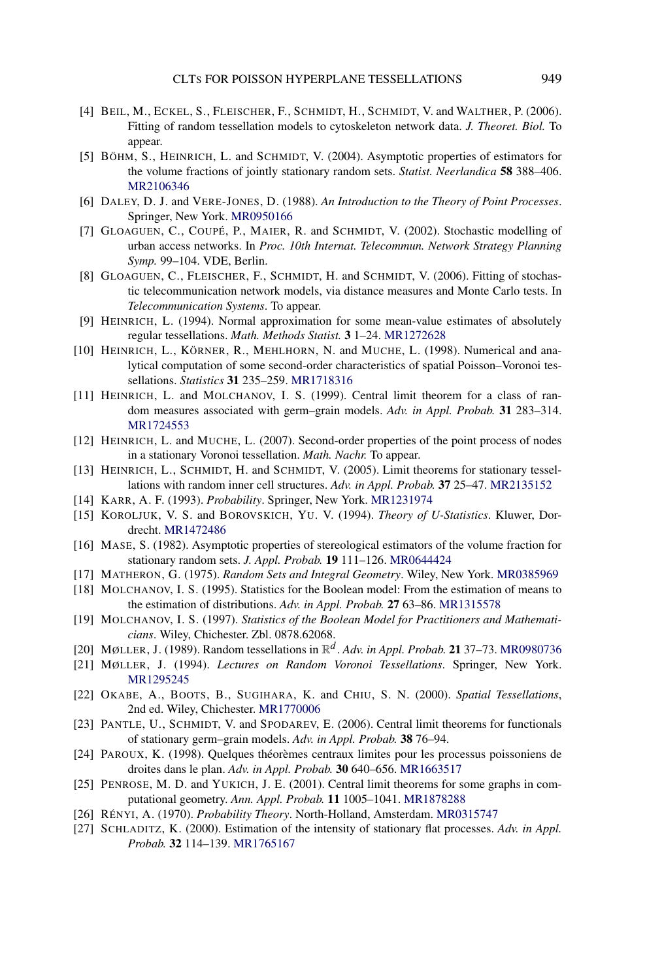- <span id="page-30-0"></span>[4] BEIL, M., ECKEL, S., FLEISCHER, F., SCHMIDT, H., SCHMIDT, V. and WALTHER, P. (2006). Fitting of random tessellation models to cytoskeleton network data. *J. Theoret. Biol.* To appear.
- [5] BÖHM, S., HEINRICH, L. and SCHMIDT, V. (2004). Asymptotic properties of estimators for the volume fractions of jointly stationary random sets. *Statist. Neerlandica* **58** 388–406. [MR2106346](http://www.ams.org/mathscinet-getitem?mr=2106346)
- [6] DALEY, D. J. and VERE-JONES, D. (1988). *An Introduction to the Theory of Point Processes*. Springer, New York. [MR0950166](http://www.ams.org/mathscinet-getitem?mr=0950166)
- [7] GLOAGUEN, C., COUPÉ, P., MAIER, R. and SCHMIDT, V. (2002). Stochastic modelling of urban access networks. In *Proc. 10th Internat. Telecommun. Network Strategy Planning Symp.* 99–104. VDE, Berlin.
- [8] GLOAGUEN, C., FLEISCHER, F., SCHMIDT, H. and SCHMIDT, V. (2006). Fitting of stochastic telecommunication network models, via distance measures and Monte Carlo tests. In *Telecommunication Systems*. To appear.
- [9] HEINRICH, L. (1994). Normal approximation for some mean-value estimates of absolutely regular tessellations. *Math. Methods Statist.* **3** 1–24. [MR1272628](http://www.ams.org/mathscinet-getitem?mr=1272628)
- [10] HEINRICH, L., KÖRNER, R., MEHLHORN, N. and MUCHE, L. (1998). Numerical and analytical computation of some second-order characteristics of spatial Poisson–Voronoi tessellations. *Statistics* **31** 235–259. [MR1718316](http://www.ams.org/mathscinet-getitem?mr=1718316)
- [11] HEINRICH, L. and MOLCHANOV, I. S. (1999). Central limit theorem for a class of random measures associated with germ–grain models. *Adv. in Appl. Probab.* **31** 283–314. [MR1724553](http://www.ams.org/mathscinet-getitem?mr=1724553)
- [12] HEINRICH, L. and MUCHE, L. (2007). Second-order properties of the point process of nodes in a stationary Voronoi tessellation. *Math. Nachr.* To appear.
- [13] HEINRICH, L., SCHMIDT, H. and SCHMIDT, V. (2005). Limit theorems for stationary tessellations with random inner cell structures. *Adv. in Appl. Probab.* **37** 25–47. [MR2135152](http://www.ams.org/mathscinet-getitem?mr=2135152)
- [14] KARR, A. F. (1993). *Probability*. Springer, New York. [MR1231974](http://www.ams.org/mathscinet-getitem?mr=1231974)
- [15] KOROLJUK, V. S. and BOROVSKICH, YU. V. (1994). *Theory of U-Statistics*. Kluwer, Dordrecht. [MR1472486](http://www.ams.org/mathscinet-getitem?mr=1472486)
- [16] MASE, S. (1982). Asymptotic properties of stereological estimators of the volume fraction for stationary random sets. *J. Appl. Probab.* **19** 111–126. [MR0644424](http://www.ams.org/mathscinet-getitem?mr=0644424)
- [17] MATHERON, G. (1975). *Random Sets and Integral Geometry*. Wiley, New York. [MR0385969](http://www.ams.org/mathscinet-getitem?mr=0385969)
- [18] MOLCHANOV, I. S. (1995). Statistics for the Boolean model: From the estimation of means to the estimation of distributions. *Adv. in Appl. Probab.* **27** 63–86. [MR1315578](http://www.ams.org/mathscinet-getitem?mr=1315578)
- [19] MOLCHANOV, I. S. (1997). *Statistics of the Boolean Model for Practitioners and Mathematicians*. Wiley, Chichester. Zbl. 0878.62068.
- [20] MØLLER, J. (1989). Random tessellations in R*<sup>d</sup>* . *Adv. in Appl. Probab.* **21** 37–73. [MR0980736](http://www.ams.org/mathscinet-getitem?mr=0980736)
- [21] MØLLER, J. (1994). *Lectures on Random Voronoi Tessellations*. Springer, New York. [MR1295245](http://www.ams.org/mathscinet-getitem?mr=1295245)
- [22] OKABE, A., BOOTS, B., SUGIHARA, K. and CHIU, S. N. (2000). *Spatial Tessellations*, 2nd ed. Wiley, Chichester. [MR1770006](http://www.ams.org/mathscinet-getitem?mr=1770006)
- [23] PANTLE, U., SCHMIDT, V. and SPODAREV, E. (2006). Central limit theorems for functionals of stationary germ–grain models. *Adv. in Appl. Probab.* **38** 76–94.
- [24] PAROUX, K. (1998). Quelques théorèmes centraux limites pour les processus poissoniens de droites dans le plan. *Adv. in Appl. Probab.* **30** 640–656. [MR1663517](http://www.ams.org/mathscinet-getitem?mr=1663517)
- [25] PENROSE, M. D. and YUKICH, J. E. (2001). Central limit theorems for some graphs in computational geometry. *Ann. Appl. Probab.* **11** 1005–1041. [MR1878288](http://www.ams.org/mathscinet-getitem?mr=1878288)
- [26] RÉNYI, A. (1970). *Probability Theory*. North-Holland, Amsterdam. [MR0315747](http://www.ams.org/mathscinet-getitem?mr=0315747)
- [27] SCHLADITZ, K. (2000). Estimation of the intensity of stationary flat processes. *Adv. in Appl. Probab.* **32** 114–139. [MR1765167](http://www.ams.org/mathscinet-getitem?mr=1765167)